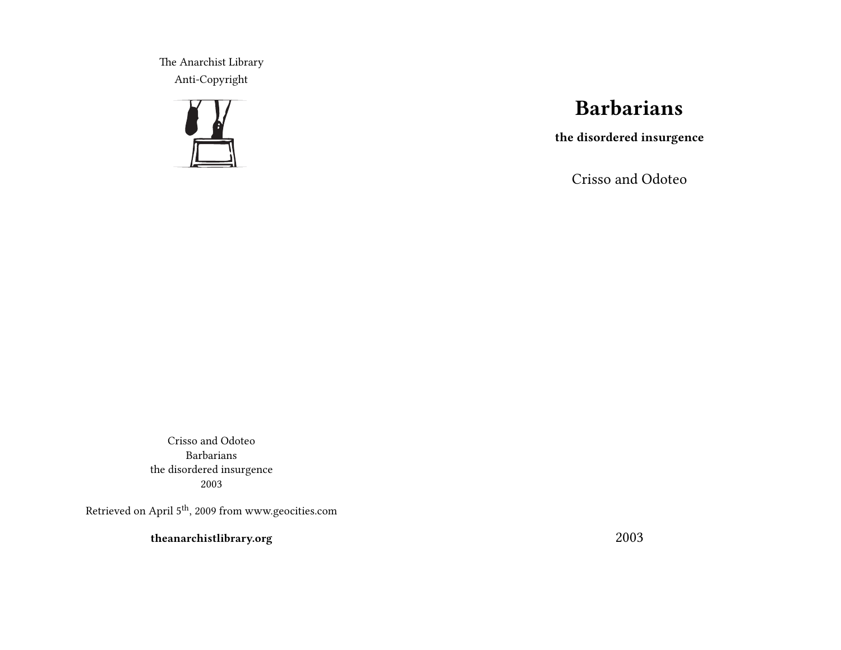The Anarchist Library Anti-Copyright



## **Barbarians**

**the disordered insurgence**

Crisso and Odoteo

Crisso and Odoteo Barbarians the disordered insurgence 2003

Retrieved on April 5<sup>th</sup>, 2009 from www.geocities.com

**theanarchistlibrary.org**

2003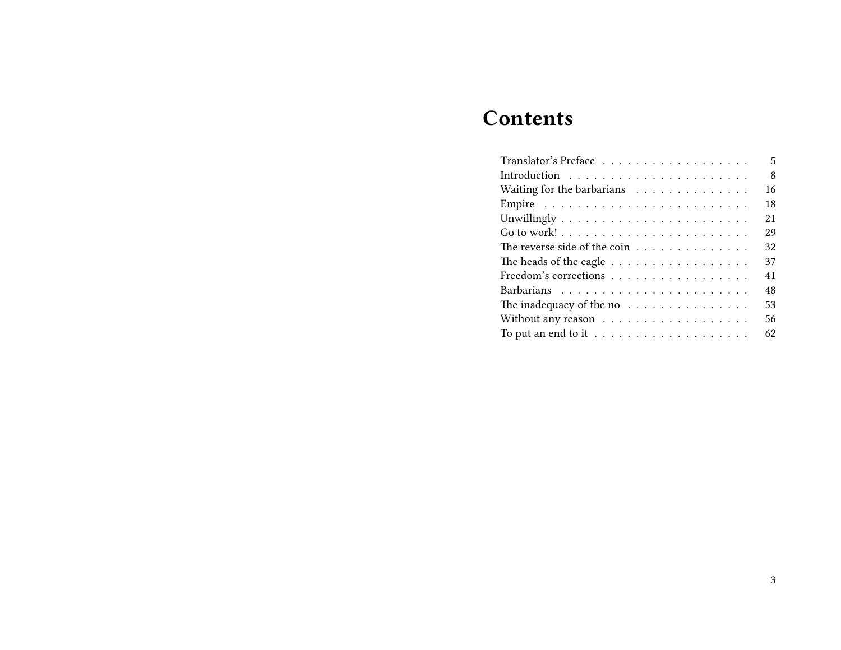# **Contents**

| Translator's Preface                                            | 5  |
|-----------------------------------------------------------------|----|
|                                                                 | 8  |
| Waiting for the barbarians $\ldots \ldots \ldots \ldots$        | 16 |
|                                                                 | 18 |
| Unwillingly $\dotsb\dotsb\dotsb\dotsb\dotsb\dotsb\dotsb\dotsb$  | 21 |
|                                                                 | 29 |
| The reverse side of the coin $\ldots \ldots \ldots \ldots$      | 32 |
| The heads of the eagle $\dots \dots \dots \dots \dots \dots$    | 37 |
| Freedom's corrections                                           | 41 |
|                                                                 | 48 |
| The inadequacy of the no $\dots \dots \dots \dots \dots$        | 53 |
| Without any reason $\ldots \ldots \ldots \ldots \ldots$         | 56 |
| To put an end to it $\ldots \ldots \ldots \ldots \ldots \ldots$ | 62 |
|                                                                 |    |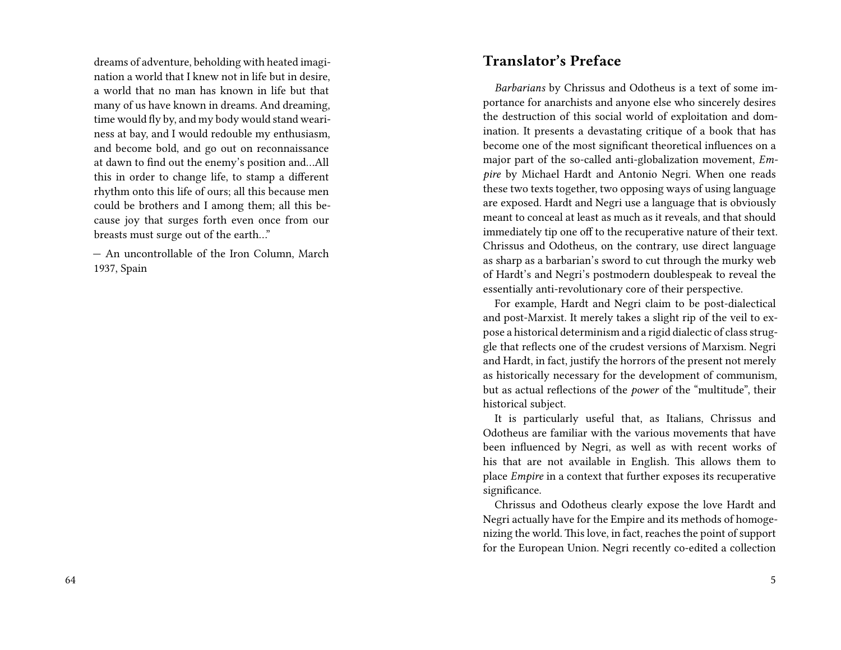dreams of adventure, beholding with heated imagination a world that I knew not in life but in desire, a world that no man has known in life but that many of us have known in dreams. And dreaming, time would fly by, and my body would stand weariness at bay, and I would redouble my enthusiasm, and become bold, and go out on reconnaissance at dawn to find out the enemy's position and…All this in order to change life, to stamp a different rhythm onto this life of ours; all this because men could be brothers and I among them; all this because joy that surges forth even once from our breasts must surge out of the earth…"

— An uncontrollable of the Iron Column, March 1937, Spain

#### **Translator's Preface**

*Barbarians* by Chrissus and Odotheus is a text of some importance for anarchists and anyone else who sincerely desires the destruction of this social world of exploitation and domination. It presents a devastating critique of a book that has become one of the most significant theoretical influences on a major part of the so-called anti-globalization movement, *Empire* by Michael Hardt and Antonio Negri. When one reads these two texts together, two opposing ways of using language are exposed. Hardt and Negri use a language that is obviously meant to conceal at least as much as it reveals, and that should immediately tip one off to the recuperative nature of their text. Chrissus and Odotheus, on the contrary, use direct language as sharp as a barbarian's sword to cut through the murky web of Hardt's and Negri's postmodern doublespeak to reveal the essentially anti-revolutionary core of their perspective.

For example, Hardt and Negri claim to be post-dialectical and post-Marxist. It merely takes a slight rip of the veil to expose a historical determinism and a rigid dialectic of class struggle that reflects one of the crudest versions of Marxism. Negri and Hardt, in fact, justify the horrors of the present not merely as historically necessary for the development of communism, but as actual reflections of the *power* of the "multitude", their historical subject.

It is particularly useful that, as Italians, Chrissus and Odotheus are familiar with the various movements that have been influenced by Negri, as well as with recent works of his that are not available in English. This allows them to place *Empire* in a context that further exposes its recuperative significance.

Chrissus and Odotheus clearly expose the love Hardt and Negri actually have for the Empire and its methods of homogenizing the world. This love, in fact, reaches the point of support for the European Union. Negri recently co-edited a collection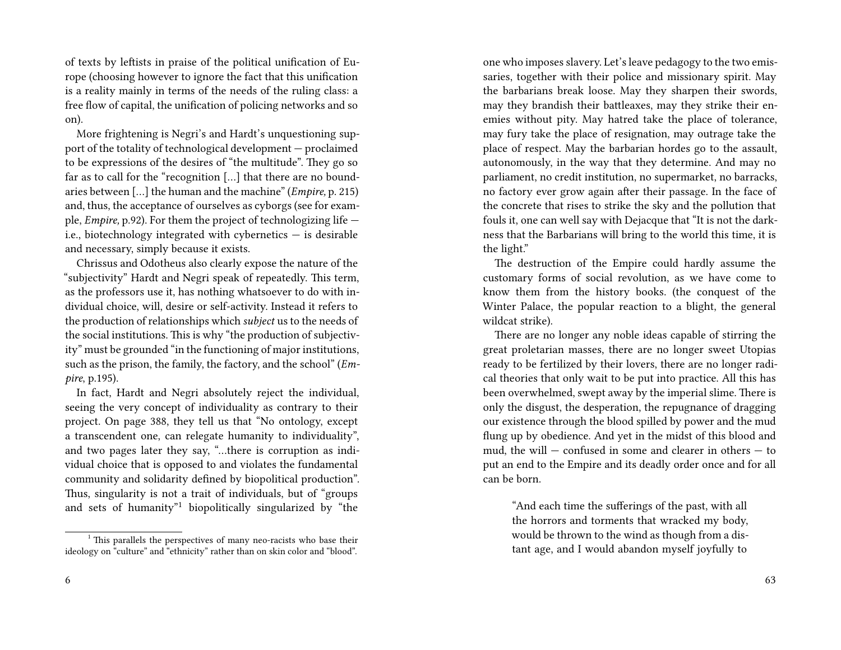of texts by leftists in praise of the political unification of Europe (choosing however to ignore the fact that this unification is a reality mainly in terms of the needs of the ruling class: a free flow of capital, the unification of policing networks and so on).

More frightening is Negri's and Hardt's unquestioning support of the totality of technological development — proclaimed to be expressions of the desires of "the multitude". They go so far as to call for the "recognition […] that there are no boundaries between […] the human and the machine" (*Empire,* p. 215) and, thus, the acceptance of ourselves as cyborgs (see for example, *Empire,* p.92). For them the project of technologizing life i.e., biotechnology integrated with cybernetics — is desirable and necessary, simply because it exists.

Chrissus and Odotheus also clearly expose the nature of the "subjectivity" Hardt and Negri speak of repeatedly. This term, as the professors use it, has nothing whatsoever to do with individual choice, will, desire or self-activity. Instead it refers to the production of relationships which *subject* us to the needs of the social institutions. This is why "the production of subjectivity" must be grounded "in the functioning of major institutions, such as the prison, the family, the factory, and the school" (*Empire*, p.195).

In fact, Hardt and Negri absolutely reject the individual, seeing the very concept of individuality as contrary to their project. On page 388, they tell us that "No ontology, except a transcendent one, can relegate humanity to individuality", and two pages later they say, "…there is corruption as individual choice that is opposed to and violates the fundamental community and solidarity defined by biopolitical production". Thus, singularity is not a trait of individuals, but of "groups and sets of humanity"<sup>1</sup> biopolitically singularized by "the

one who imposes slavery. Let's leave pedagogy to the two emissaries, together with their police and missionary spirit. May the barbarians break loose. May they sharpen their swords, may they brandish their battleaxes, may they strike their enemies without pity. May hatred take the place of tolerance, may fury take the place of resignation, may outrage take the place of respect. May the barbarian hordes go to the assault, autonomously, in the way that they determine. And may no parliament, no credit institution, no supermarket, no barracks, no factory ever grow again after their passage. In the face of the concrete that rises to strike the sky and the pollution that fouls it, one can well say with Dejacque that "It is not the darkness that the Barbarians will bring to the world this time, it is the light."

The destruction of the Empire could hardly assume the customary forms of social revolution, as we have come to know them from the history books. (the conquest of the Winter Palace, the popular reaction to a blight, the general wildcat strike).

There are no longer any noble ideas capable of stirring the great proletarian masses, there are no longer sweet Utopias ready to be fertilized by their lovers, there are no longer radical theories that only wait to be put into practice. All this has been overwhelmed, swept away by the imperial slime. There is only the disgust, the desperation, the repugnance of dragging our existence through the blood spilled by power and the mud flung up by obedience. And yet in the midst of this blood and mud, the will — confused in some and clearer in others — to put an end to the Empire and its deadly order once and for all can be born.

"And each time the sufferings of the past, with all the horrors and torments that wracked my body, would be thrown to the wind as though from a distant age, and I would abandon myself joyfully to

 $1$ <sup>1</sup> This parallels the perspectives of many neo-racists who base their ideology on "culture" and "ethnicity" rather than on skin color and "blood".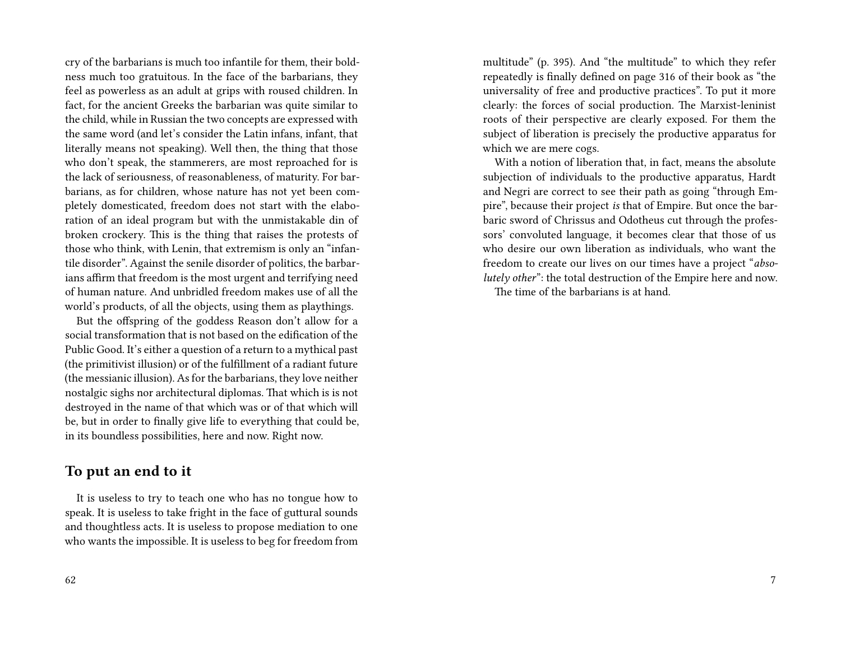cry of the barbarians is much too infantile for them, their boldness much too gratuitous. In the face of the barbarians, they feel as powerless as an adult at grips with roused children. In fact, for the ancient Greeks the barbarian was quite similar to the child, while in Russian the two concepts are expressed with the same word (and let's consider the Latin infans, infant, that literally means not speaking). Well then, the thing that those who don't speak, the stammerers, are most reproached for is the lack of seriousness, of reasonableness, of maturity. For barbarians, as for children, whose nature has not yet been completely domesticated, freedom does not start with the elaboration of an ideal program but with the unmistakable din of broken crockery. This is the thing that raises the protests of those who think, with Lenin, that extremism is only an "infantile disorder". Against the senile disorder of politics, the barbarians affirm that freedom is the most urgent and terrifying need of human nature. And unbridled freedom makes use of all the world's products, of all the objects, using them as playthings.

But the offspring of the goddess Reason don't allow for a social transformation that is not based on the edification of the Public Good. It's either a question of a return to a mythical past (the primitivist illusion) or of the fulfillment of a radiant future (the messianic illusion). As for the barbarians, they love neither nostalgic sighs nor architectural diplomas. That which is is not destroyed in the name of that which was or of that which will be, but in order to finally give life to everything that could be, in its boundless possibilities, here and now. Right now.

#### **To put an end to it**

It is useless to try to teach one who has no tongue how to speak. It is useless to take fright in the face of guttural sounds and thoughtless acts. It is useless to propose mediation to one who wants the impossible. It is useless to beg for freedom from multitude" (p. 395). And "the multitude" to which they refer repeatedly is finally defined on page 316 of their book as "the universality of free and productive practices". To put it more clearly: the forces of social production. The Marxist-leninist roots of their perspective are clearly exposed. For them the subject of liberation is precisely the productive apparatus for which we are mere cogs.

With a notion of liberation that, in fact, means the absolute subjection of individuals to the productive apparatus, Hardt and Negri are correct to see their path as going "through Empire", because their project *is* that of Empire. But once the barbaric sword of Chrissus and Odotheus cut through the professors' convoluted language, it becomes clear that those of us who desire our own liberation as individuals, who want the freedom to create our lives on our times have a project "*absolutely other*": the total destruction of the Empire here and now. The time of the barbarians is at hand.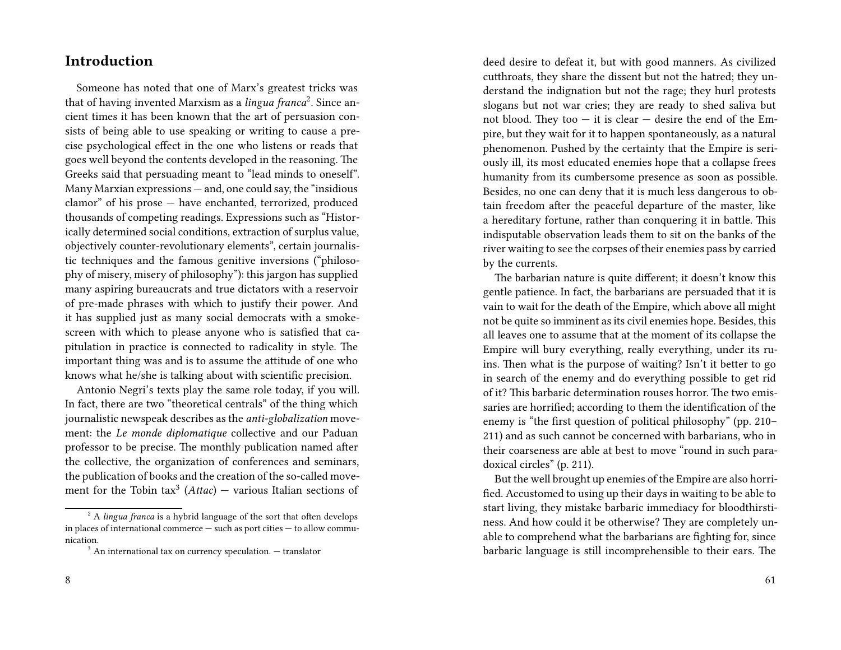#### **Introduction**

Someone has noted that one of Marx's greatest tricks was that of having invented Marxism as a *lingua franca*<sup>2</sup> . Since ancient times it has been known that the art of persuasion consists of being able to use speaking or writing to cause a precise psychological effect in the one who listens or reads that goes well beyond the contents developed in the reasoning. The Greeks said that persuading meant to "lead minds to oneself". Many Marxian expressions — and, one could say, the "insidious clamor" of his prose — have enchanted, terrorized, produced thousands of competing readings. Expressions such as "Historically determined social conditions, extraction of surplus value, objectively counter-revolutionary elements", certain journalistic techniques and the famous genitive inversions ("philosophy of misery, misery of philosophy"): this jargon has supplied many aspiring bureaucrats and true dictators with a reservoir of pre-made phrases with which to justify their power. And it has supplied just as many social democrats with a smokescreen with which to please anyone who is satisfied that capitulation in practice is connected to radicality in style. The important thing was and is to assume the attitude of one who knows what he/she is talking about with scientific precision.

Antonio Negri's texts play the same role today, if you will. In fact, there are two "theoretical centrals" of the thing which journalistic newspeak describes as the *anti-globalization* movement: the *Le monde diplomatique* collective and our Paduan professor to be precise. The monthly publication named after the collective, the organization of conferences and seminars, the publication of books and the creation of the so-called movement for the Tobin tax<sup>3</sup> (*Attac*) — various Italian sections of

deed desire to defeat it, but with good manners. As civilized cutthroats, they share the dissent but not the hatred; they understand the indignation but not the rage; they hurl protests slogans but not war cries; they are ready to shed saliva but not blood. They too  $-$  it is clear  $-$  desire the end of the Empire, but they wait for it to happen spontaneously, as a natural phenomenon. Pushed by the certainty that the Empire is seriously ill, its most educated enemies hope that a collapse frees humanity from its cumbersome presence as soon as possible. Besides, no one can deny that it is much less dangerous to obtain freedom after the peaceful departure of the master, like a hereditary fortune, rather than conquering it in battle. This indisputable observation leads them to sit on the banks of the river waiting to see the corpses of their enemies pass by carried by the currents.

The barbarian nature is quite different; it doesn't know this gentle patience. In fact, the barbarians are persuaded that it is vain to wait for the death of the Empire, which above all might not be quite so imminent as its civil enemies hope. Besides, this all leaves one to assume that at the moment of its collapse the Empire will bury everything, really everything, under its ruins. Then what is the purpose of waiting? Isn't it better to go in search of the enemy and do everything possible to get rid of it? This barbaric determination rouses horror. The two emissaries are horrified; according to them the identification of the enemy is "the first question of political philosophy" (pp. 210– 211) and as such cannot be concerned with barbarians, who in their coarseness are able at best to move "round in such paradoxical circles" (p. 211).

But the well brought up enemies of the Empire are also horrified. Accustomed to using up their days in waiting to be able to start living, they mistake barbaric immediacy for bloodthirstiness. And how could it be otherwise? They are completely unable to comprehend what the barbarians are fighting for, since barbaric language is still incomprehensible to their ears. The

<sup>2</sup> A *lingua franca* is a hybrid language of the sort that often develops in places of international commerce — such as port cities — to allow communication.

 $3$  An international tax on currency speculation.  $-$  translator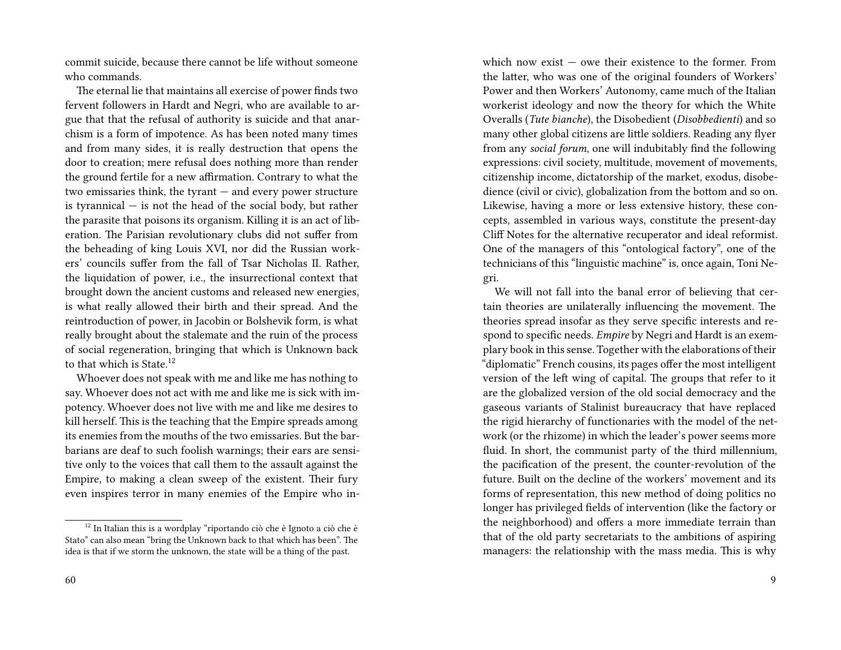commit suicide, because there cannot be life without someone who commands.

The eternal lie that maintains all exercise of power finds two fervent followers in Hardt and Negri, who are available to argue that that the refusal of authority is suicide and that anarchism is a form of impotence. As has been noted many times and from many sides, it is really destruction that opens the door to creation; mere refusal does nothing more than render the ground fertile for a new affirmation. Contrary to what the two emissaries think, the tyrant — and every power structure is tyrannical — is not the head of the social body, but rather the parasite that poisons its organism. Killing it is an act of liberation. The Parisian revolutionary clubs did not suffer from the beheading of king Louis XVI, nor did the Russian workers' councils suffer from the fall of Tsar Nicholas II. Rather, the liquidation of power, i.e., the insurrectional context that brought down the ancient customs and released new energies, is what really allowed their birth and their spread. And the reintroduction of power, in Jacobin or Bolshevik form, is what really brought about the stalemate and the ruin of the process of social regeneration, bringing that which is Unknown back to that which is State. $12$ 

Whoever does not speak with me and like me has nothing to say. Whoever does not act with me and like me is sick with impotency. Whoever does not live with me and like me desires to kill herself. This is the teaching that the Empire spreads among its enemies from the mouths of the two emissaries. But the barbarians are deaf to such foolish warnings; their ears are sensitive only to the voices that call them to the assault against the Empire, to making a clean sweep of the existent. Their fury even inspires terror in many enemies of the Empire who inwhich now exist  $-$  owe their existence to the former. From the latter, who was one of the original founders of Workers' Power and then Workers' Autonomy, came much of the Italian workerist ideology and now the theory for which the White Overalls (*Tute bianche*), the Disobedient (*Disobbedienti*) and so many other global citizens are little soldiers. Reading any flyer from any *social forum*, one will indubitably find the following expressions: civil society, multitude, movement of movements, citizenship income, dictatorship of the market, exodus, disobedience (civil or civic), globalization from the bottom and so on. Likewise, having a more or less extensive history, these concepts, assembled in various ways, constitute the present-day Cliff Notes for the alternative recuperator and ideal reformist. One of the managers of this "ontological factory", one of the technicians of this "linguistic machine" is, once again, Toni Negri.

We will not fall into the banal error of believing that certain theories are unilaterally influencing the movement. The theories spread insofar as they serve specific interests and respond to specific needs. *Empire* by Negri and Hardt is an exemplary book in this sense. Together with the elaborations of their "diplomatic" French cousins, its pages offer the most intelligent version of the left wing of capital. The groups that refer to it are the globalized version of the old social democracy and the gaseous variants of Stalinist bureaucracy that have replaced the rigid hierarchy of functionaries with the model of the network (or the rhizome) in which the leader's power seems more fluid. In short, the communist party of the third millennium, the pacification of the present, the counter-revolution of the future. Built on the decline of the workers' movement and its forms of representation, this new method of doing politics no longer has privileged fields of intervention (like the factory or the neighborhood) and offers a more immediate terrain than that of the old party secretariats to the ambitions of aspiring managers: the relationship with the mass media. This is why

 $^{12}$  In Italian this is a wordplay "riportando ciò che è Ignoto a ciò che è Stato" can also mean "bring the Unknown back to that which has been". The idea is that if we storm the unknown, the state will be a thing of the past.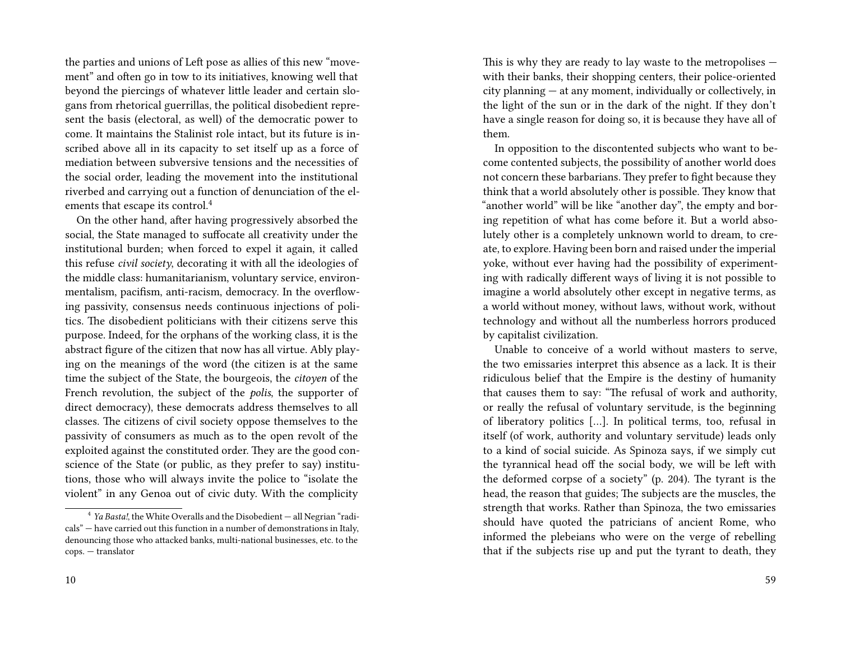the parties and unions of Left pose as allies of this new "movement" and often go in tow to its initiatives, knowing well that beyond the piercings of whatever little leader and certain slogans from rhetorical guerrillas, the political disobedient represent the basis (electoral, as well) of the democratic power to come. It maintains the Stalinist role intact, but its future is inscribed above all in its capacity to set itself up as a force of mediation between subversive tensions and the necessities of the social order, leading the movement into the institutional riverbed and carrying out a function of denunciation of the elements that escape its control.<sup>4</sup>

On the other hand, after having progressively absorbed the social, the State managed to suffocate all creativity under the institutional burden; when forced to expel it again, it called this refuse *civil society*, decorating it with all the ideologies of the middle class: humanitarianism, voluntary service, environmentalism, pacifism, anti-racism, democracy. In the overflowing passivity, consensus needs continuous injections of politics. The disobedient politicians with their citizens serve this purpose. Indeed, for the orphans of the working class, it is the abstract figure of the citizen that now has all virtue. Ably playing on the meanings of the word (the citizen is at the same time the subject of the State, the bourgeois, the *citoyen* of the French revolution, the subject of the *polis*, the supporter of direct democracy), these democrats address themselves to all classes. The citizens of civil society oppose themselves to the passivity of consumers as much as to the open revolt of the exploited against the constituted order. They are the good conscience of the State (or public, as they prefer to say) institutions, those who will always invite the police to "isolate the violent" in any Genoa out of civic duty. With the complicity

This is why they are ready to lay waste to the metropolises with their banks, their shopping centers, their police-oriented city planning — at any moment, individually or collectively, in the light of the sun or in the dark of the night. If they don't have a single reason for doing so, it is because they have all of them.

In opposition to the discontented subjects who want to become contented subjects, the possibility of another world does not concern these barbarians. They prefer to fight because they think that a world absolutely other is possible. They know that "another world" will be like "another day", the empty and boring repetition of what has come before it. But a world absolutely other is a completely unknown world to dream, to create, to explore. Having been born and raised under the imperial yoke, without ever having had the possibility of experimenting with radically different ways of living it is not possible to imagine a world absolutely other except in negative terms, as a world without money, without laws, without work, without technology and without all the numberless horrors produced by capitalist civilization.

Unable to conceive of a world without masters to serve, the two emissaries interpret this absence as a lack. It is their ridiculous belief that the Empire is the destiny of humanity that causes them to say: "The refusal of work and authority, or really the refusal of voluntary servitude, is the beginning of liberatory politics […]. In political terms, too, refusal in itself (of work, authority and voluntary servitude) leads only to a kind of social suicide. As Spinoza says, if we simply cut the tyrannical head off the social body, we will be left with the deformed corpse of a society" (p. 204). The tyrant is the head, the reason that guides; The subjects are the muscles, the strength that works. Rather than Spinoza, the two emissaries should have quoted the patricians of ancient Rome, who informed the plebeians who were on the verge of rebelling that if the subjects rise up and put the tyrant to death, they

<sup>&</sup>lt;sup>4</sup> *Ya Basta!*, the White Overalls and the Disobedient — all Negrian "radicals" — have carried out this function in a number of demonstrations in Italy, denouncing those who attacked banks, multi-national businesses, etc. to the cops. — translator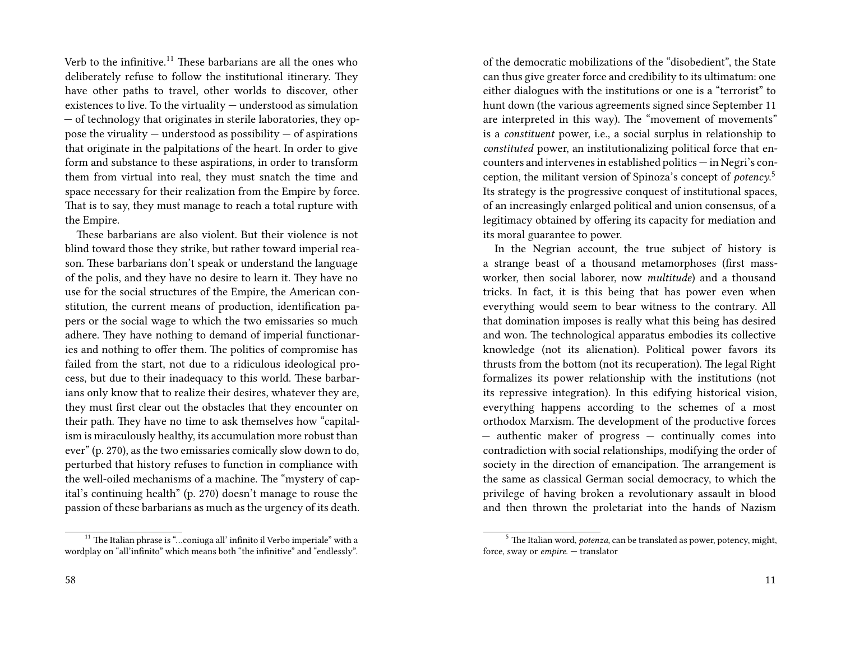Verb to the infinitive.<sup>11</sup> These barbarians are all the ones who deliberately refuse to follow the institutional itinerary. They have other paths to travel, other worlds to discover, other existences to live. To the virtuality — understood as simulation — of technology that originates in sterile laboratories, they oppose the viruality  $-$  understood as possibility  $-$  of aspirations that originate in the palpitations of the heart. In order to give form and substance to these aspirations, in order to transform them from virtual into real, they must snatch the time and space necessary for their realization from the Empire by force. That is to say, they must manage to reach a total rupture with the Empire.

These barbarians are also violent. But their violence is not blind toward those they strike, but rather toward imperial reason. These barbarians don't speak or understand the language of the polis, and they have no desire to learn it. They have no use for the social structures of the Empire, the American constitution, the current means of production, identification papers or the social wage to which the two emissaries so much adhere. They have nothing to demand of imperial functionaries and nothing to offer them. The politics of compromise has failed from the start, not due to a ridiculous ideological process, but due to their inadequacy to this world. These barbarians only know that to realize their desires, whatever they are, they must first clear out the obstacles that they encounter on their path. They have no time to ask themselves how "capitalism is miraculously healthy, its accumulation more robust than ever" (p. 270), as the two emissaries comically slow down to do, perturbed that history refuses to function in compliance with the well-oiled mechanisms of a machine. The "mystery of capital's continuing health" (p. 270) doesn't manage to rouse the passion of these barbarians as much as the urgency of its death. of the democratic mobilizations of the "disobedient", the State can thus give greater force and credibility to its ultimatum: one either dialogues with the institutions or one is a "terrorist" to hunt down (the various agreements signed since September 11 are interpreted in this way). The "movement of movements" is a *constituent* power, i.e., a social surplus in relationship to *constituted* power, an institutionalizing political force that encounters and intervenes in established politics — in Negri's conception, the militant version of Spinoza's concept of *potency*. 5 Its strategy is the progressive conquest of institutional spaces, of an increasingly enlarged political and union consensus, of a legitimacy obtained by offering its capacity for mediation and its moral guarantee to power.

In the Negrian account, the true subject of history is a strange beast of a thousand metamorphoses (first massworker, then social laborer, now *multitude*) and a thousand tricks. In fact, it is this being that has power even when everything would seem to bear witness to the contrary. All that domination imposes is really what this being has desired and won. The technological apparatus embodies its collective knowledge (not its alienation). Political power favors its thrusts from the bottom (not its recuperation). The legal Right formalizes its power relationship with the institutions (not its repressive integration). In this edifying historical vision, everything happens according to the schemes of a most orthodox Marxism. The development of the productive forces — authentic maker of progress — continually comes into contradiction with social relationships, modifying the order of society in the direction of emancipation. The arrangement is the same as classical German social democracy, to which the privilege of having broken a revolutionary assault in blood and then thrown the proletariat into the hands of Nazism

 $^{11}$  The Italian phrase is "...coniuga all' infinito il Verbo imperiale" with a wordplay on "all'infinito" which means both "the infinitive" and "endlessly".

<sup>5</sup> The Italian word, *potenza*, can be translated as power, potency, might, force, sway or *empire*. — translator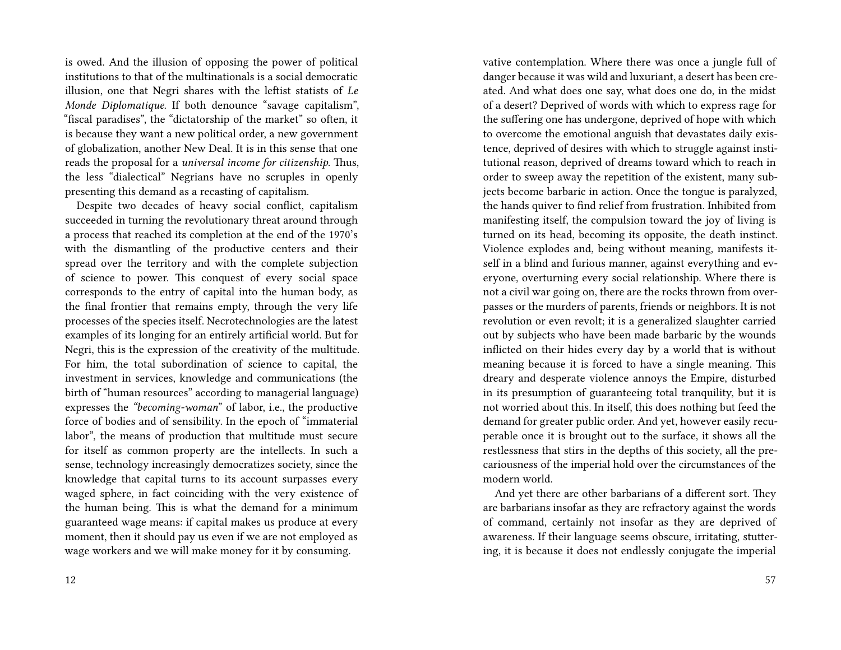is owed. And the illusion of opposing the power of political institutions to that of the multinationals is a social democratic illusion, one that Negri shares with the leftist statists of *Le Monde Diplomatique*. If both denounce "savage capitalism", "fiscal paradises", the "dictatorship of the market" so often, it is because they want a new political order, a new government of globalization, another New Deal. It is in this sense that one reads the proposal for a *universal income for citizenship*. Thus, the less "dialectical" Negrians have no scruples in openly presenting this demand as a recasting of capitalism.

Despite two decades of heavy social conflict, capitalism succeeded in turning the revolutionary threat around through a process that reached its completion at the end of the 1970's with the dismantling of the productive centers and their spread over the territory and with the complete subjection of science to power. This conquest of every social space corresponds to the entry of capital into the human body, as the final frontier that remains empty, through the very life processes of the species itself. Necrotechnologies are the latest examples of its longing for an entirely artificial world. But for Negri, this is the expression of the creativity of the multitude. For him, the total subordination of science to capital, the investment in services, knowledge and communications (the birth of "human resources" according to managerial language) expresses the *"becoming-woman*" of labor, i.e., the productive force of bodies and of sensibility. In the epoch of "immaterial labor", the means of production that multitude must secure for itself as common property are the intellects. In such a sense, technology increasingly democratizes society, since the knowledge that capital turns to its account surpasses every waged sphere, in fact coinciding with the very existence of the human being. This is what the demand for a minimum guaranteed wage means: if capital makes us produce at every moment, then it should pay us even if we are not employed as wage workers and we will make money for it by consuming.

vative contemplation. Where there was once a jungle full of danger because it was wild and luxuriant, a desert has been created. And what does one say, what does one do, in the midst of a desert? Deprived of words with which to express rage for the suffering one has undergone, deprived of hope with which to overcome the emotional anguish that devastates daily existence, deprived of desires with which to struggle against institutional reason, deprived of dreams toward which to reach in order to sweep away the repetition of the existent, many subjects become barbaric in action. Once the tongue is paralyzed, the hands quiver to find relief from frustration. Inhibited from manifesting itself, the compulsion toward the joy of living is turned on its head, becoming its opposite, the death instinct. Violence explodes and, being without meaning, manifests itself in a blind and furious manner, against everything and everyone, overturning every social relationship. Where there is not a civil war going on, there are the rocks thrown from overpasses or the murders of parents, friends or neighbors. It is not revolution or even revolt; it is a generalized slaughter carried out by subjects who have been made barbaric by the wounds inflicted on their hides every day by a world that is without meaning because it is forced to have a single meaning. This dreary and desperate violence annoys the Empire, disturbed in its presumption of guaranteeing total tranquility, but it is not worried about this. In itself, this does nothing but feed the demand for greater public order. And yet, however easily recuperable once it is brought out to the surface, it shows all the restlessness that stirs in the depths of this society, all the precariousness of the imperial hold over the circumstances of the modern world.

And yet there are other barbarians of a different sort. They are barbarians insofar as they are refractory against the words of command, certainly not insofar as they are deprived of awareness. If their language seems obscure, irritating, stuttering, it is because it does not endlessly conjugate the imperial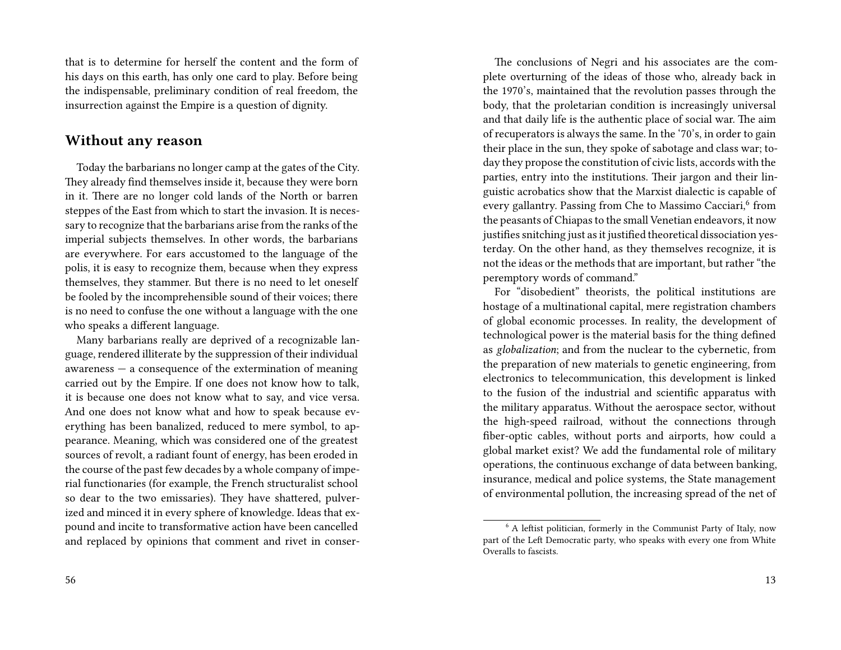that is to determine for herself the content and the form of his days on this earth, has only one card to play. Before being the indispensable, preliminary condition of real freedom, the insurrection against the Empire is a question of dignity.

#### **Without any reason**

Today the barbarians no longer camp at the gates of the City. They already find themselves inside it, because they were born in it. There are no longer cold lands of the North or barren steppes of the East from which to start the invasion. It is necessary to recognize that the barbarians arise from the ranks of the imperial subjects themselves. In other words, the barbarians are everywhere. For ears accustomed to the language of the polis, it is easy to recognize them, because when they express themselves, they stammer. But there is no need to let oneself be fooled by the incomprehensible sound of their voices; there is no need to confuse the one without a language with the one who speaks a different language.

Many barbarians really are deprived of a recognizable language, rendered illiterate by the suppression of their individual  $a$ wareness  $-$  a consequence of the extermination of meaning carried out by the Empire. If one does not know how to talk, it is because one does not know what to say, and vice versa. And one does not know what and how to speak because everything has been banalized, reduced to mere symbol, to appearance. Meaning, which was considered one of the greatest sources of revolt, a radiant fount of energy, has been eroded in the course of the past few decades by a whole company of imperial functionaries (for example, the French structuralist school so dear to the two emissaries). They have shattered, pulverized and minced it in every sphere of knowledge. Ideas that expound and incite to transformative action have been cancelled and replaced by opinions that comment and rivet in conser-

The conclusions of Negri and his associates are the complete overturning of the ideas of those who, already back in the 1970's, maintained that the revolution passes through the body, that the proletarian condition is increasingly universal and that daily life is the authentic place of social war. The aim of recuperators is always the same. In the '70's, in order to gain their place in the sun, they spoke of sabotage and class war; today they propose the constitution of civic lists, accords with the parties, entry into the institutions. Their jargon and their linguistic acrobatics show that the Marxist dialectic is capable of every gallantry. Passing from Che to Massimo Cacciari,<sup>6</sup> from the peasants of Chiapas to the small Venetian endeavors, it now justifies snitching just as it justified theoretical dissociation yesterday. On the other hand, as they themselves recognize, it is not the ideas or the methods that are important, but rather "the peremptory words of command."

For "disobedient" theorists, the political institutions are hostage of a multinational capital, mere registration chambers of global economic processes. In reality, the development of technological power is the material basis for the thing defined as *globalization*; and from the nuclear to the cybernetic, from the preparation of new materials to genetic engineering, from electronics to telecommunication, this development is linked to the fusion of the industrial and scientific apparatus with the military apparatus. Without the aerospace sector, without the high-speed railroad, without the connections through fiber-optic cables, without ports and airports, how could a global market exist? We add the fundamental role of military operations, the continuous exchange of data between banking, insurance, medical and police systems, the State management of environmental pollution, the increasing spread of the net of

<sup>&</sup>lt;sup>6</sup> A leftist politician, formerly in the Communist Party of Italy, now part of the Left Democratic party, who speaks with every one from White Overalls to fascists.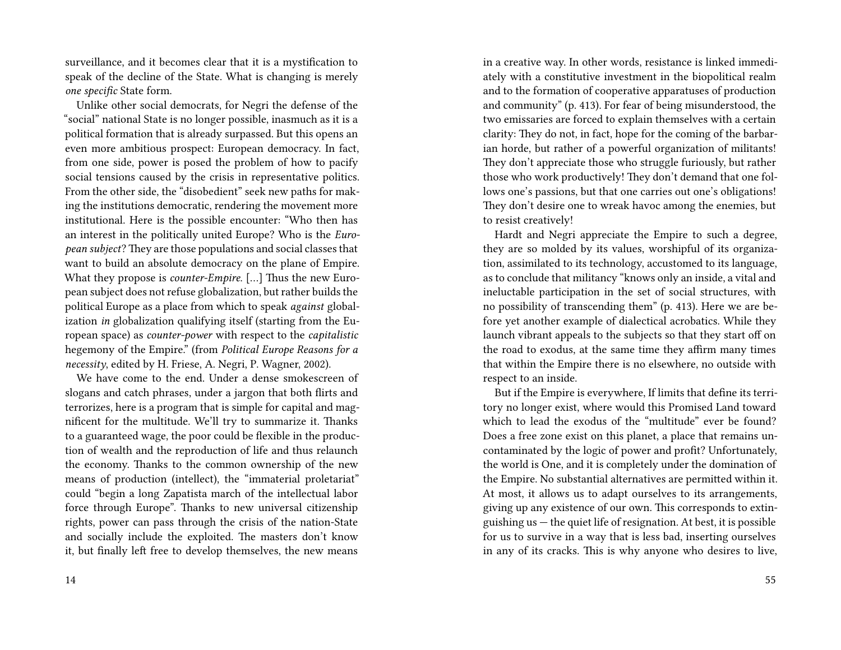surveillance, and it becomes clear that it is a mystification to speak of the decline of the State. What is changing is merely *one specific* State form.

Unlike other social democrats, for Negri the defense of the "social" national State is no longer possible, inasmuch as it is a political formation that is already surpassed. But this opens an even more ambitious prospect: European democracy. In fact, from one side, power is posed the problem of how to pacify social tensions caused by the crisis in representative politics. From the other side, the "disobedient" seek new paths for making the institutions democratic, rendering the movement more institutional. Here is the possible encounter: "Who then has an interest in the politically united Europe? Who is the *European subject*? They are those populations and social classes that want to build an absolute democracy on the plane of Empire. What they propose is *counter-Empire*. […] Thus the new European subject does not refuse globalization, but rather builds the political Europe as a place from which to speak *against* globalization *in* globalization qualifying itself (starting from the European space) as *counter-power* with respect to the *capitalistic* hegemony of the Empire." (from *Political Europe Reasons for a necessity*, edited by H. Friese, A. Negri, P. Wagner, 2002).

We have come to the end. Under a dense smokescreen of slogans and catch phrases, under a jargon that both flirts and terrorizes, here is a program that is simple for capital and magnificent for the multitude. We'll try to summarize it. Thanks to a guaranteed wage, the poor could be flexible in the production of wealth and the reproduction of life and thus relaunch the economy. Thanks to the common ownership of the new means of production (intellect), the "immaterial proletariat" could "begin a long Zapatista march of the intellectual labor force through Europe". Thanks to new universal citizenship rights, power can pass through the crisis of the nation-State and socially include the exploited. The masters don't know it, but finally left free to develop themselves, the new means

in a creative way. In other words, resistance is linked immediately with a constitutive investment in the biopolitical realm and to the formation of cooperative apparatuses of production and community" (p. 413). For fear of being misunderstood, the two emissaries are forced to explain themselves with a certain clarity: They do not, in fact, hope for the coming of the barbarian horde, but rather of a powerful organization of militants! They don't appreciate those who struggle furiously, but rather those who work productively! They don't demand that one follows one's passions, but that one carries out one's obligations! They don't desire one to wreak havoc among the enemies, but to resist creatively!

Hardt and Negri appreciate the Empire to such a degree, they are so molded by its values, worshipful of its organization, assimilated to its technology, accustomed to its language, as to conclude that militancy "knows only an inside, a vital and ineluctable participation in the set of social structures, with no possibility of transcending them" (p. 413). Here we are before yet another example of dialectical acrobatics. While they launch vibrant appeals to the subjects so that they start off on the road to exodus, at the same time they affirm many times that within the Empire there is no elsewhere, no outside with respect to an inside.

But if the Empire is everywhere, If limits that define its territory no longer exist, where would this Promised Land toward which to lead the exodus of the "multitude" ever be found? Does a free zone exist on this planet, a place that remains uncontaminated by the logic of power and profit? Unfortunately, the world is One, and it is completely under the domination of the Empire. No substantial alternatives are permitted within it. At most, it allows us to adapt ourselves to its arrangements, giving up any existence of our own. This corresponds to extinguishing us — the quiet life of resignation. At best, it is possible for us to survive in a way that is less bad, inserting ourselves in any of its cracks. This is why anyone who desires to live,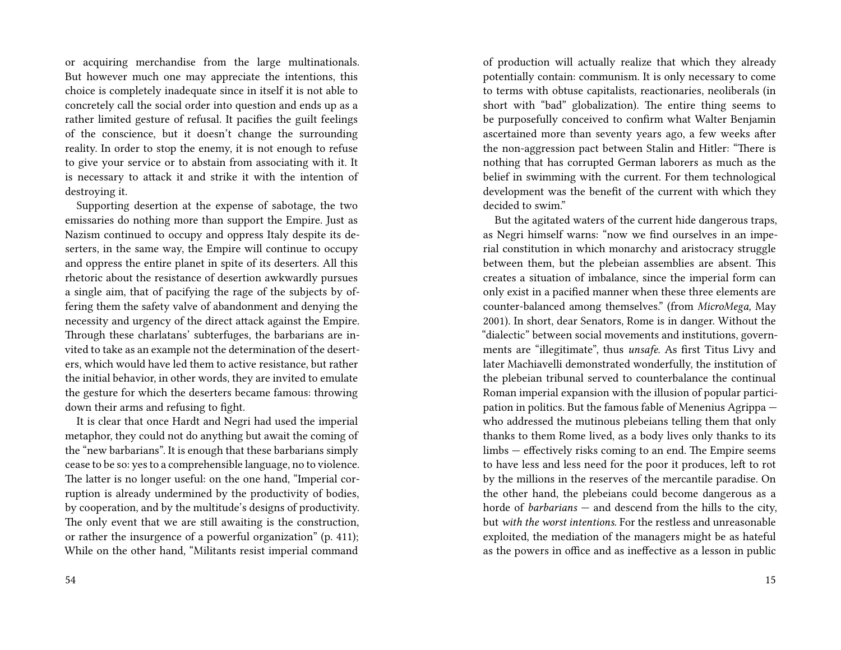or acquiring merchandise from the large multinationals. But however much one may appreciate the intentions, this choice is completely inadequate since in itself it is not able to concretely call the social order into question and ends up as a rather limited gesture of refusal. It pacifies the guilt feelings of the conscience, but it doesn't change the surrounding reality. In order to stop the enemy, it is not enough to refuse to give your service or to abstain from associating with it. It is necessary to attack it and strike it with the intention of destroying it.

Supporting desertion at the expense of sabotage, the two emissaries do nothing more than support the Empire. Just as Nazism continued to occupy and oppress Italy despite its deserters, in the same way, the Empire will continue to occupy and oppress the entire planet in spite of its deserters. All this rhetoric about the resistance of desertion awkwardly pursues a single aim, that of pacifying the rage of the subjects by offering them the safety valve of abandonment and denying the necessity and urgency of the direct attack against the Empire. Through these charlatans' subterfuges, the barbarians are invited to take as an example not the determination of the deserters, which would have led them to active resistance, but rather the initial behavior, in other words, they are invited to emulate the gesture for which the deserters became famous: throwing down their arms and refusing to fight.

It is clear that once Hardt and Negri had used the imperial metaphor, they could not do anything but await the coming of the "new barbarians". It is enough that these barbarians simply cease to be so: yes to a comprehensible language, no to violence. The latter is no longer useful: on the one hand, "Imperial corruption is already undermined by the productivity of bodies, by cooperation, and by the multitude's designs of productivity. The only event that we are still awaiting is the construction, or rather the insurgence of a powerful organization" (p. 411); While on the other hand, "Militants resist imperial command

of production will actually realize that which they already potentially contain: communism. It is only necessary to come to terms with obtuse capitalists, reactionaries, neoliberals (in short with "bad" globalization). The entire thing seems to be purposefully conceived to confirm what Walter Benjamin ascertained more than seventy years ago, a few weeks after the non-aggression pact between Stalin and Hitler: "There is nothing that has corrupted German laborers as much as the belief in swimming with the current. For them technological development was the benefit of the current with which they decided to swim."

But the agitated waters of the current hide dangerous traps, as Negri himself warns: "now we find ourselves in an imperial constitution in which monarchy and aristocracy struggle between them, but the plebeian assemblies are absent. This creates a situation of imbalance, since the imperial form can only exist in a pacified manner when these three elements are counter-balanced among themselves." (from *MicroMega,* May 2001). In short, dear Senators, Rome is in danger. Without the "dialectic" between social movements and institutions, governments are "illegitimate", thus *unsafe*. As first Titus Livy and later Machiavelli demonstrated wonderfully, the institution of the plebeian tribunal served to counterbalance the continual Roman imperial expansion with the illusion of popular participation in politics. But the famous fable of Menenius Agrippa who addressed the mutinous plebeians telling them that only thanks to them Rome lived, as a body lives only thanks to its limbs — effectively risks coming to an end. The Empire seems to have less and less need for the poor it produces, left to rot by the millions in the reserves of the mercantile paradise. On the other hand, the plebeians could become dangerous as a horde of *barbarians* — and descend from the hills to the city, but *with the worst intentions*. For the restless and unreasonable exploited, the mediation of the managers might be as hateful as the powers in office and as ineffective as a lesson in public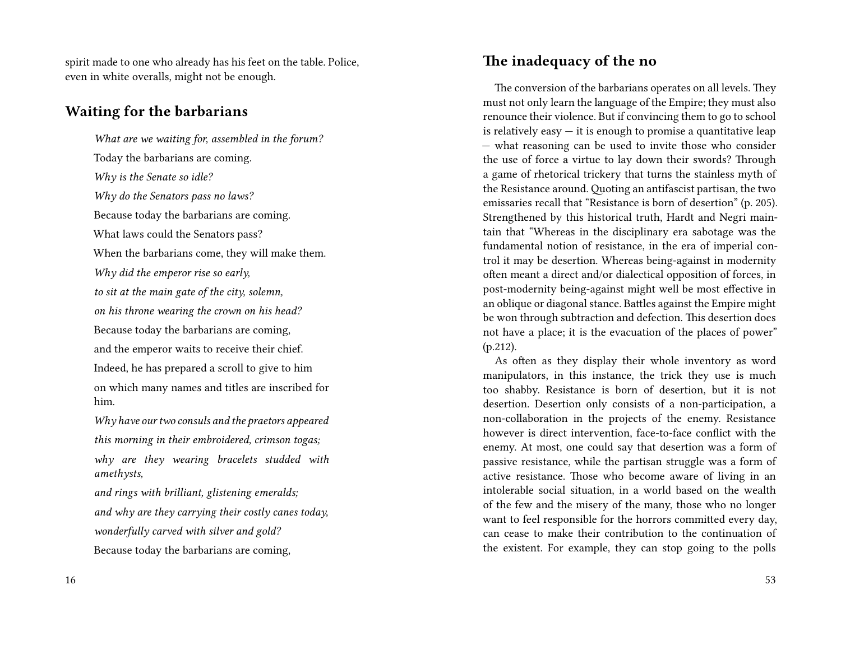spirit made to one who already has his feet on the table. Police, even in white overalls, might not be enough.

#### **Waiting for the barbarians**

*What are we waiting for, assembled in the forum?* Today the barbarians are coming. *Why is the Senate so idle? Why do the Senators pass no laws?* Because today the barbarians are coming. What laws could the Senators pass? When the barbarians come, they will make them. *Why did the emperor rise so early, to sit at the main gate of the city, solemn, on his throne wearing the crown on his head?* Because today the barbarians are coming, and the emperor waits to receive their chief. Indeed, he has prepared a scroll to give to him on which many names and titles are inscribed for him. *Why have our two consuls and the praetors appeared*

*this morning in their embroidered, crimson togas; why are they wearing bracelets studded with amethysts,*

*and rings with brilliant, glistening emeralds; and why are they carrying their costly canes today, wonderfully carved with silver and gold?* Because today the barbarians are coming,

#### **The inadequacy of the no**

The conversion of the barbarians operates on all levels. They must not only learn the language of the Empire; they must also renounce their violence. But if convincing them to go to school is relatively easy  $-$  it is enough to promise a quantitative leap — what reasoning can be used to invite those who consider the use of force a virtue to lay down their swords? Through a game of rhetorical trickery that turns the stainless myth of the Resistance around. Quoting an antifascist partisan, the two emissaries recall that "Resistance is born of desertion" (p. 205). Strengthened by this historical truth, Hardt and Negri maintain that "Whereas in the disciplinary era sabotage was the fundamental notion of resistance, in the era of imperial control it may be desertion. Whereas being-against in modernity often meant a direct and/or dialectical opposition of forces, in post-modernity being-against might well be most effective in an oblique or diagonal stance. Battles against the Empire might be won through subtraction and defection. This desertion does not have a place; it is the evacuation of the places of power" (p.212).

As often as they display their whole inventory as word manipulators, in this instance, the trick they use is much too shabby. Resistance is born of desertion, but it is not desertion. Desertion only consists of a non-participation, a non-collaboration in the projects of the enemy. Resistance however is direct intervention, face-to-face conflict with the enemy. At most, one could say that desertion was a form of passive resistance, while the partisan struggle was a form of active resistance. Those who become aware of living in an intolerable social situation, in a world based on the wealth of the few and the misery of the many, those who no longer want to feel responsible for the horrors committed every day, can cease to make their contribution to the continuation of the existent. For example, they can stop going to the polls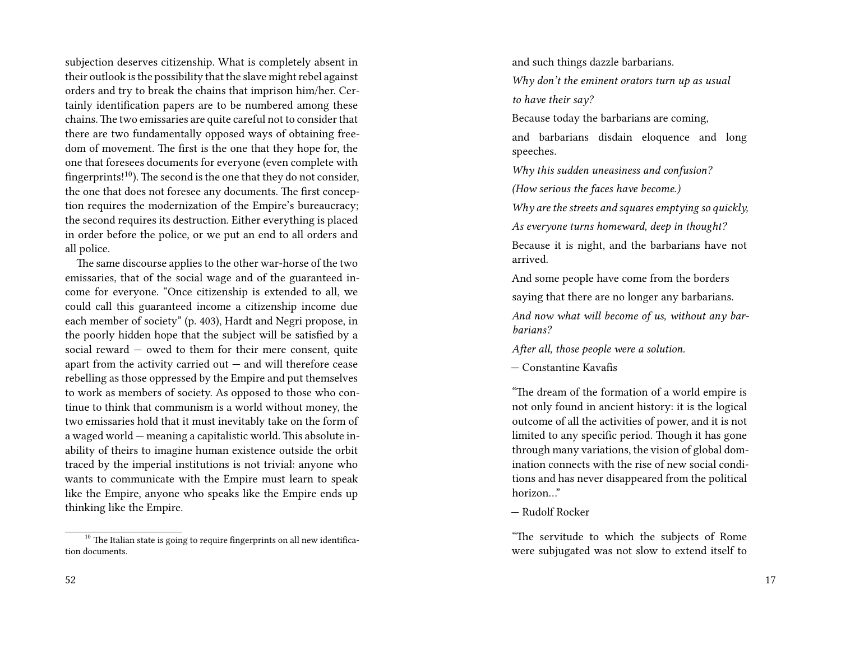subjection deserves citizenship. What is completely absent in their outlook is the possibility that the slave might rebel against orders and try to break the chains that imprison him/her. Certainly identification papers are to be numbered among these chains.The two emissaries are quite careful not to consider that there are two fundamentally opposed ways of obtaining freedom of movement. The first is the one that they hope for, the one that foresees documents for everyone (even complete with fingerprints! $10$ ). The second is the one that they do not consider, the one that does not foresee any documents. The first conception requires the modernization of the Empire's bureaucracy; the second requires its destruction. Either everything is placed in order before the police, or we put an end to all orders and all police.

The same discourse applies to the other war-horse of the two emissaries, that of the social wage and of the guaranteed income for everyone. "Once citizenship is extended to all, we could call this guaranteed income a citizenship income due each member of society" (p. 403), Hardt and Negri propose, in the poorly hidden hope that the subject will be satisfied by a social reward — owed to them for their mere consent, quite apart from the activity carried out  $-$  and will therefore cease rebelling as those oppressed by the Empire and put themselves to work as members of society. As opposed to those who continue to think that communism is a world without money, the two emissaries hold that it must inevitably take on the form of a waged world — meaning a capitalistic world. This absolute inability of theirs to imagine human existence outside the orbit traced by the imperial institutions is not trivial: anyone who wants to communicate with the Empire must learn to speak like the Empire, anyone who speaks like the Empire ends up thinking like the Empire.

 $10$  The Italian state is going to require fingerprints on all new identification documents.

and such things dazzle barbarians. *Why don't the eminent orators turn up as usual to have their say?*

Because today the barbarians are coming,

and barbarians disdain eloquence and long speeches.

*Why this sudden uneasiness and confusion?*

*(How serious the faces have become.)*

*Why are the streets and squares emptying so quickly,*

*As everyone turns homeward, deep in thought?*

Because it is night, and the barbarians have not arrived.

And some people have come from the borders

saying that there are no longer any barbarians.

*And now what will become of us, without any barbarians?*

*After all, those people were a solution.*

— Constantine Kavafis

"The dream of the formation of a world empire is not only found in ancient history: it is the logical outcome of all the activities of power, and it is not limited to any specific period. Though it has gone through many variations, the vision of global domination connects with the rise of new social conditions and has never disappeared from the political horizon…"

— Rudolf Rocker

"The servitude to which the subjects of Rome were subjugated was not slow to extend itself to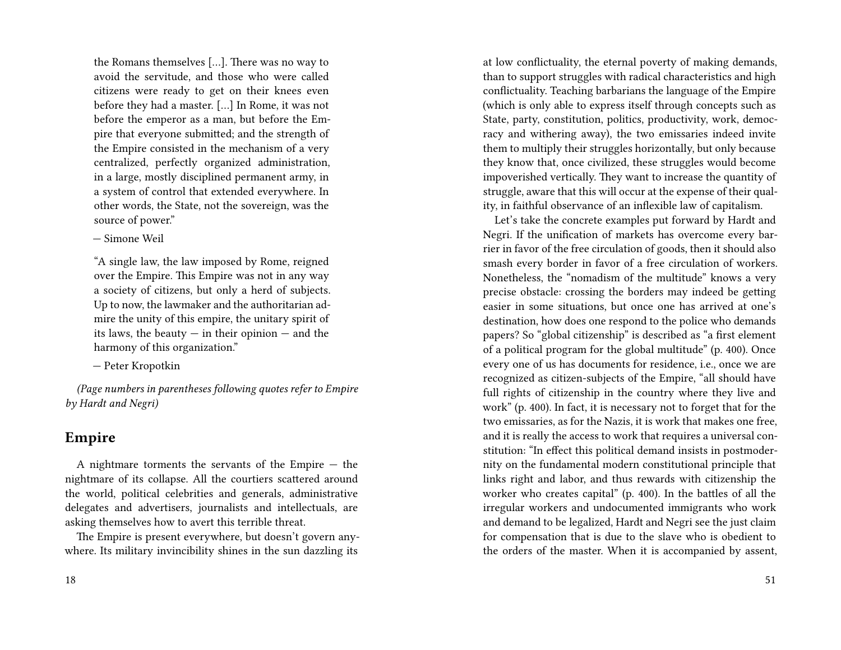the Romans themselves […]. There was no way to avoid the servitude, and those who were called citizens were ready to get on their knees even before they had a master. […] In Rome, it was not before the emperor as a man, but before the Empire that everyone submitted; and the strength of the Empire consisted in the mechanism of a very centralized, perfectly organized administration, in a large, mostly disciplined permanent army, in a system of control that extended everywhere. In other words, the State, not the sovereign, was the source of power."

— Simone Weil

"A single law, the law imposed by Rome, reigned over the Empire. This Empire was not in any way a society of citizens, but only a herd of subjects. Up to now, the lawmaker and the authoritarian admire the unity of this empire, the unitary spirit of its laws, the beauty  $-$  in their opinion  $-$  and the harmony of this organization."

— Peter Kropotkin

*(Page numbers in parentheses following quotes refer to Empire by Hardt and Negri)*

#### **Empire**

A nightmare torments the servants of the Empire — the nightmare of its collapse. All the courtiers scattered around the world, political celebrities and generals, administrative delegates and advertisers, journalists and intellectuals, are asking themselves how to avert this terrible threat.

The Empire is present everywhere, but doesn't govern anywhere. Its military invincibility shines in the sun dazzling its

at low conflictuality, the eternal poverty of making demands, than to support struggles with radical characteristics and high conflictuality. Teaching barbarians the language of the Empire (which is only able to express itself through concepts such as State, party, constitution, politics, productivity, work, democracy and withering away), the two emissaries indeed invite them to multiply their struggles horizontally, but only because they know that, once civilized, these struggles would become impoverished vertically. They want to increase the quantity of struggle, aware that this will occur at the expense of their quality, in faithful observance of an inflexible law of capitalism.

Let's take the concrete examples put forward by Hardt and Negri. If the unification of markets has overcome every barrier in favor of the free circulation of goods, then it should also smash every border in favor of a free circulation of workers. Nonetheless, the "nomadism of the multitude" knows a very precise obstacle: crossing the borders may indeed be getting easier in some situations, but once one has arrived at one's destination, how does one respond to the police who demands papers? So "global citizenship" is described as "a first element of a political program for the global multitude" (p. 400). Once every one of us has documents for residence, i.e., once we are recognized as citizen-subjects of the Empire, "all should have full rights of citizenship in the country where they live and work" (p. 400). In fact, it is necessary not to forget that for the two emissaries, as for the Nazis, it is work that makes one free, and it is really the access to work that requires a universal constitution: "In effect this political demand insists in postmodernity on the fundamental modern constitutional principle that links right and labor, and thus rewards with citizenship the worker who creates capital" (p. 400). In the battles of all the irregular workers and undocumented immigrants who work and demand to be legalized, Hardt and Negri see the just claim for compensation that is due to the slave who is obedient to the orders of the master. When it is accompanied by assent,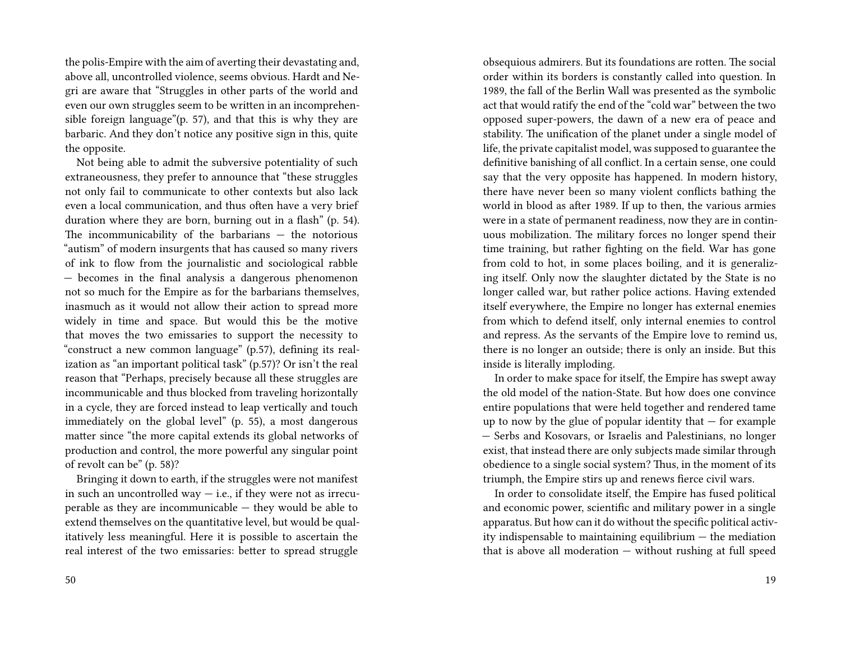the polis-Empire with the aim of averting their devastating and, above all, uncontrolled violence, seems obvious. Hardt and Negri are aware that "Struggles in other parts of the world and even our own struggles seem to be written in an incomprehensible foreign language"(p. 57), and that this is why they are barbaric. And they don't notice any positive sign in this, quite the opposite.

Not being able to admit the subversive potentiality of such extraneousness, they prefer to announce that "these struggles not only fail to communicate to other contexts but also lack even a local communication, and thus often have a very brief duration where they are born, burning out in a flash" (p. 54). The incommunicability of the barbarians — the notorious "autism" of modern insurgents that has caused so many rivers of ink to flow from the journalistic and sociological rabble — becomes in the final analysis a dangerous phenomenon not so much for the Empire as for the barbarians themselves, inasmuch as it would not allow their action to spread more widely in time and space. But would this be the motive that moves the two emissaries to support the necessity to "construct a new common language" (p.57), defining its realization as "an important political task" (p.57)? Or isn't the real reason that "Perhaps, precisely because all these struggles are incommunicable and thus blocked from traveling horizontally in a cycle, they are forced instead to leap vertically and touch immediately on the global level" (p. 55), a most dangerous matter since "the more capital extends its global networks of production and control, the more powerful any singular point of revolt can be" (p. 58)?

Bringing it down to earth, if the struggles were not manifest in such an uncontrolled way  $-$  i.e., if they were not as irrecuperable as they are incommunicable — they would be able to extend themselves on the quantitative level, but would be qualitatively less meaningful. Here it is possible to ascertain the real interest of the two emissaries: better to spread struggle

obsequious admirers. But its foundations are rotten. The social order within its borders is constantly called into question. In 1989, the fall of the Berlin Wall was presented as the symbolic act that would ratify the end of the "cold war" between the two opposed super-powers, the dawn of a new era of peace and stability. The unification of the planet under a single model of life, the private capitalist model, was supposed to guarantee the definitive banishing of all conflict. In a certain sense, one could say that the very opposite has happened. In modern history, there have never been so many violent conflicts bathing the world in blood as after 1989. If up to then, the various armies were in a state of permanent readiness, now they are in continuous mobilization. The military forces no longer spend their time training, but rather fighting on the field. War has gone from cold to hot, in some places boiling, and it is generalizing itself. Only now the slaughter dictated by the State is no longer called war, but rather police actions. Having extended itself everywhere, the Empire no longer has external enemies from which to defend itself, only internal enemies to control and repress. As the servants of the Empire love to remind us, there is no longer an outside; there is only an inside. But this inside is literally imploding.

In order to make space for itself, the Empire has swept away the old model of the nation-State. But how does one convince entire populations that were held together and rendered tame up to now by the glue of popular identity that  $-$  for example — Serbs and Kosovars, or Israelis and Palestinians, no longer exist, that instead there are only subjects made similar through obedience to a single social system? Thus, in the moment of its triumph, the Empire stirs up and renews fierce civil wars.

In order to consolidate itself, the Empire has fused political and economic power, scientific and military power in a single apparatus. But how can it do without the specific political activity indispensable to maintaining equilibrium — the mediation that is above all moderation — without rushing at full speed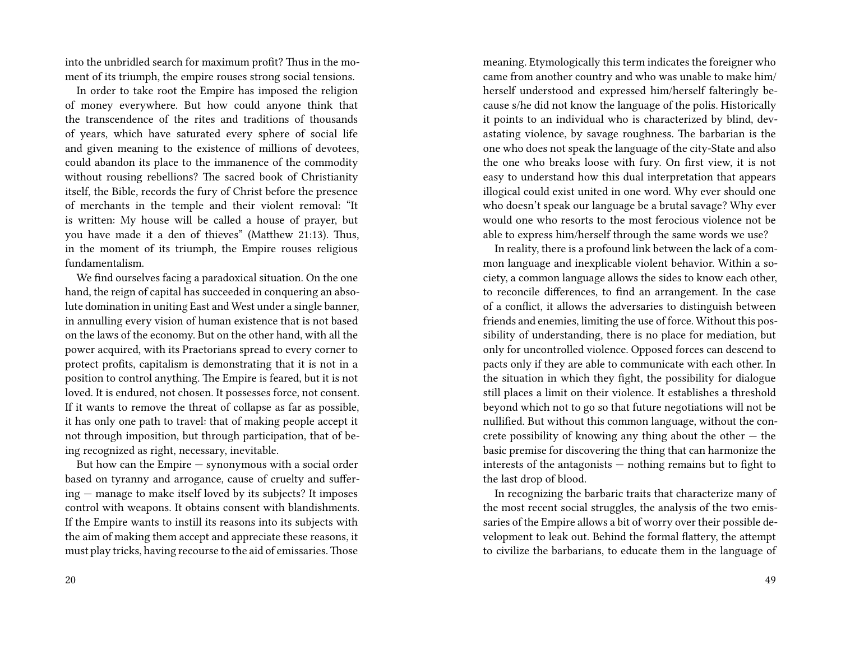into the unbridled search for maximum profit? Thus in the moment of its triumph, the empire rouses strong social tensions.

In order to take root the Empire has imposed the religion of money everywhere. But how could anyone think that the transcendence of the rites and traditions of thousands of years, which have saturated every sphere of social life and given meaning to the existence of millions of devotees, could abandon its place to the immanence of the commodity without rousing rebellions? The sacred book of Christianity itself, the Bible, records the fury of Christ before the presence of merchants in the temple and their violent removal: "It is written: My house will be called a house of prayer, but you have made it a den of thieves" (Matthew 21:13). Thus, in the moment of its triumph, the Empire rouses religious fundamentalism.

We find ourselves facing a paradoxical situation. On the one hand, the reign of capital has succeeded in conquering an absolute domination in uniting East and West under a single banner, in annulling every vision of human existence that is not based on the laws of the economy. But on the other hand, with all the power acquired, with its Praetorians spread to every corner to protect profits, capitalism is demonstrating that it is not in a position to control anything. The Empire is feared, but it is not loved. It is endured, not chosen. It possesses force, not consent. If it wants to remove the threat of collapse as far as possible, it has only one path to travel: that of making people accept it not through imposition, but through participation, that of being recognized as right, necessary, inevitable.

But how can the Empire — synonymous with a social order based on tyranny and arrogance, cause of cruelty and suffering — manage to make itself loved by its subjects? It imposes control with weapons. It obtains consent with blandishments. If the Empire wants to instill its reasons into its subjects with the aim of making them accept and appreciate these reasons, it must play tricks, having recourse to the aid of emissaries.Those

meaning. Etymologically this term indicates the foreigner who came from another country and who was unable to make him/ herself understood and expressed him/herself falteringly because s/he did not know the language of the polis. Historically it points to an individual who is characterized by blind, devastating violence, by savage roughness. The barbarian is the one who does not speak the language of the city-State and also the one who breaks loose with fury. On first view, it is not easy to understand how this dual interpretation that appears illogical could exist united in one word. Why ever should one who doesn't speak our language be a brutal savage? Why ever would one who resorts to the most ferocious violence not be able to express him/herself through the same words we use?

In reality, there is a profound link between the lack of a common language and inexplicable violent behavior. Within a society, a common language allows the sides to know each other, to reconcile differences, to find an arrangement. In the case of a conflict, it allows the adversaries to distinguish between friends and enemies, limiting the use of force. Without this possibility of understanding, there is no place for mediation, but only for uncontrolled violence. Opposed forces can descend to pacts only if they are able to communicate with each other. In the situation in which they fight, the possibility for dialogue still places a limit on their violence. It establishes a threshold beyond which not to go so that future negotiations will not be nullified. But without this common language, without the concrete possibility of knowing any thing about the other  $-$  the basic premise for discovering the thing that can harmonize the interests of the antagonists — nothing remains but to fight to the last drop of blood.

In recognizing the barbaric traits that characterize many of the most recent social struggles, the analysis of the two emissaries of the Empire allows a bit of worry over their possible development to leak out. Behind the formal flattery, the attempt to civilize the barbarians, to educate them in the language of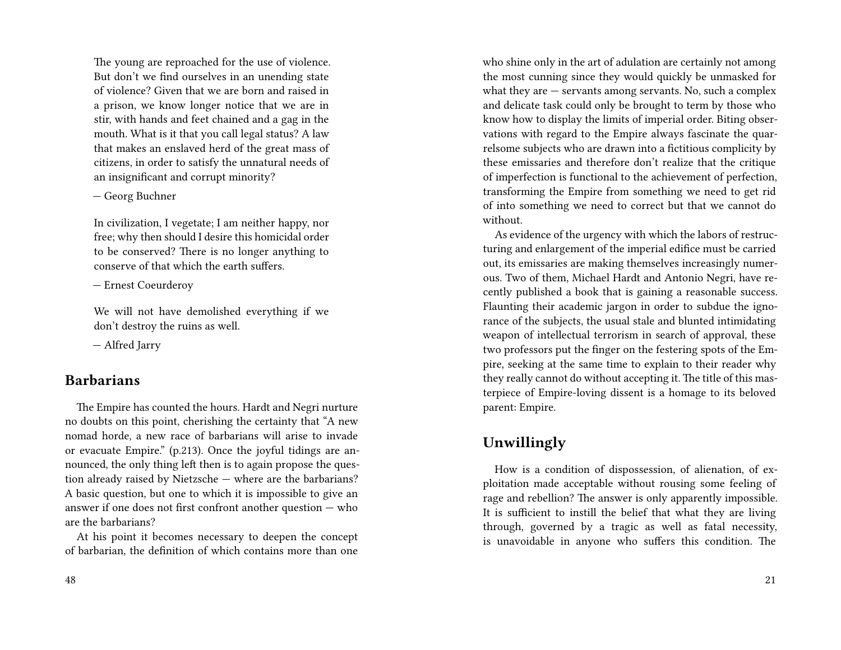The young are reproached for the use of violence. But don't we find ourselves in an unending state of violence? Given that we are born and raised in a prison, we know longer notice that we are in stir, with hands and feet chained and a gag in the mouth. What is it that you call legal status? A law that makes an enslaved herd of the great mass of citizens, in order to satisfy the unnatural needs of an insignificant and corrupt minority?

— Georg Buchner

In civilization, I vegetate; I am neither happy, nor free; why then should I desire this homicidal order to be conserved? There is no longer anything to conserve of that which the earth suffers.

— Ernest Coeurderoy

We will not have demolished everything if we don't destroy the ruins as well.

— Alfred Jarry

#### **Barbarians**

The Empire has counted the hours. Hardt and Negri nurture no doubts on this point, cherishing the certainty that "A new nomad horde, a new race of barbarians will arise to invade or evacuate Empire." (p.213). Once the joyful tidings are announced, the only thing left then is to again propose the question already raised by Nietzsche — where are the barbarians? A basic question, but one to which it is impossible to give an answer if one does not first confront another question  $-$  who are the barbarians?

At his point it becomes necessary to deepen the concept of barbarian, the definition of which contains more than one who shine only in the art of adulation are certainly not among the most cunning since they would quickly be unmasked for what they are — servants among servants. No, such a complex and delicate task could only be brought to term by those who know how to display the limits of imperial order. Biting observations with regard to the Empire always fascinate the quarrelsome subjects who are drawn into a fictitious complicity by these emissaries and therefore don't realize that the critique of imperfection is functional to the achievement of perfection, transforming the Empire from something we need to get rid of into something we need to correct but that we cannot do without.

As evidence of the urgency with which the labors of restructuring and enlargement of the imperial edifice must be carried out, its emissaries are making themselves increasingly numerous. Two of them, Michael Hardt and Antonio Negri, have recently published a book that is gaining a reasonable success. Flaunting their academic jargon in order to subdue the ignorance of the subjects, the usual stale and blunted intimidating weapon of intellectual terrorism in search of approval, these two professors put the finger on the festering spots of the Empire, seeking at the same time to explain to their reader why they really cannot do without accepting it. The title of this masterpiece of Empire-loving dissent is a homage to its beloved parent: Empire.

### **Unwillingly**

How is a condition of dispossession, of alienation, of exploitation made acceptable without rousing some feeling of rage and rebellion? The answer is only apparently impossible. It is sufficient to instill the belief that what they are living through, governed by a tragic as well as fatal necessity, is unavoidable in anyone who suffers this condition. The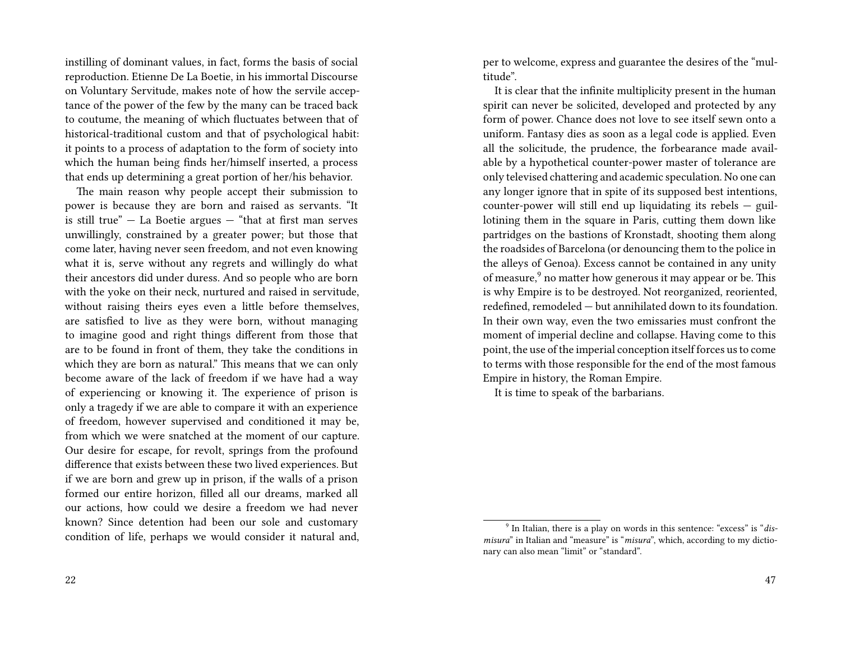instilling of dominant values, in fact, forms the basis of social reproduction. Etienne De La Boetie, in his immortal Discourse on Voluntary Servitude, makes note of how the servile acceptance of the power of the few by the many can be traced back to coutume, the meaning of which fluctuates between that of historical-traditional custom and that of psychological habit: it points to a process of adaptation to the form of society into which the human being finds her/himself inserted, a process that ends up determining a great portion of her/his behavior.

The main reason why people accept their submission to power is because they are born and raised as servants. "It is still true"  $-$  La Boetie argues  $-$  "that at first man serves unwillingly, constrained by a greater power; but those that come later, having never seen freedom, and not even knowing what it is, serve without any regrets and willingly do what their ancestors did under duress. And so people who are born with the yoke on their neck, nurtured and raised in servitude, without raising theirs eyes even a little before themselves, are satisfied to live as they were born, without managing to imagine good and right things different from those that are to be found in front of them, they take the conditions in which they are born as natural." This means that we can only become aware of the lack of freedom if we have had a way of experiencing or knowing it. The experience of prison is only a tragedy if we are able to compare it with an experience of freedom, however supervised and conditioned it may be, from which we were snatched at the moment of our capture. Our desire for escape, for revolt, springs from the profound difference that exists between these two lived experiences. But if we are born and grew up in prison, if the walls of a prison formed our entire horizon, filled all our dreams, marked all our actions, how could we desire a freedom we had never known? Since detention had been our sole and customary condition of life, perhaps we would consider it natural and, per to welcome, express and guarantee the desires of the "multitude".

It is clear that the infinite multiplicity present in the human spirit can never be solicited, developed and protected by any form of power. Chance does not love to see itself sewn onto a uniform. Fantasy dies as soon as a legal code is applied. Even all the solicitude, the prudence, the forbearance made available by a hypothetical counter-power master of tolerance are only televised chattering and academic speculation. No one can any longer ignore that in spite of its supposed best intentions, counter-power will still end up liquidating its rebels — guillotining them in the square in Paris, cutting them down like partridges on the bastions of Kronstadt, shooting them along the roadsides of Barcelona (or denouncing them to the police in the alleys of Genoa). Excess cannot be contained in any unity of measure,<sup>9</sup> no matter how generous it may appear or be. This is why Empire is to be destroyed. Not reorganized, reoriented, redefined, remodeled — but annihilated down to its foundation. In their own way, even the two emissaries must confront the moment of imperial decline and collapse. Having come to this point, the use of the imperial conception itself forces us to come to terms with those responsible for the end of the most famous Empire in history, the Roman Empire.

It is time to speak of the barbarians.

<sup>9</sup> In Italian, there is a play on words in this sentence: "excess" is "*dismisura*" in Italian and "measure" is "*misura*", which, according to my dictionary can also mean "limit" or "standard".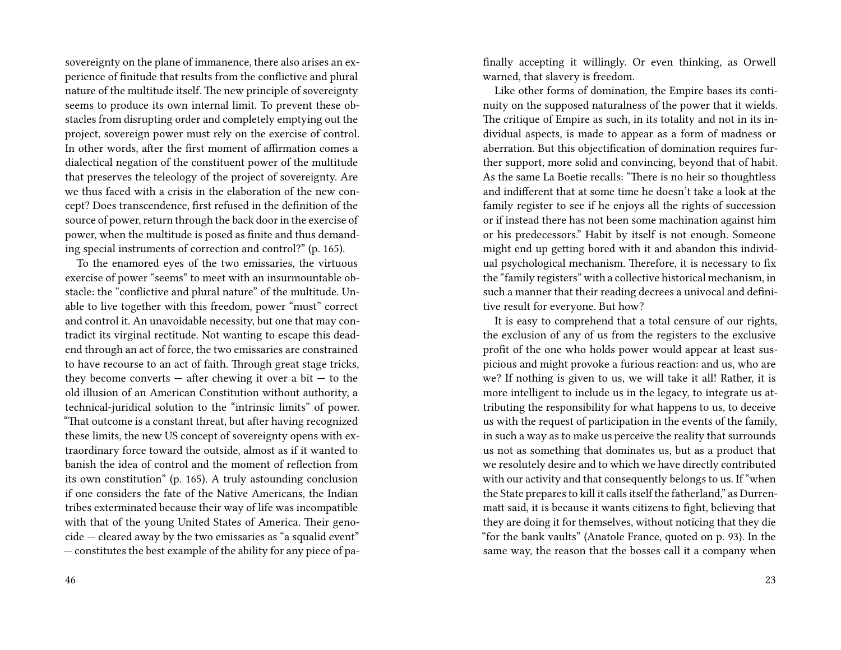sovereignty on the plane of immanence, there also arises an experience of finitude that results from the conflictive and plural nature of the multitude itself. The new principle of sovereignty seems to produce its own internal limit. To prevent these obstacles from disrupting order and completely emptying out the project, sovereign power must rely on the exercise of control. In other words, after the first moment of affirmation comes a dialectical negation of the constituent power of the multitude that preserves the teleology of the project of sovereignty. Are we thus faced with a crisis in the elaboration of the new concept? Does transcendence, first refused in the definition of the source of power, return through the back door in the exercise of power, when the multitude is posed as finite and thus demanding special instruments of correction and control?" (p. 165).

To the enamored eyes of the two emissaries, the virtuous exercise of power "seems" to meet with an insurmountable obstacle: the "conflictive and plural nature" of the multitude. Unable to live together with this freedom, power "must" correct and control it. An unavoidable necessity, but one that may contradict its virginal rectitude. Not wanting to escape this deadend through an act of force, the two emissaries are constrained to have recourse to an act of faith. Through great stage tricks, they become converts  $-$  after chewing it over a bit  $-$  to the old illusion of an American Constitution without authority, a technical-juridical solution to the "intrinsic limits" of power. "That outcome is a constant threat, but after having recognized these limits, the new US concept of sovereignty opens with extraordinary force toward the outside, almost as if it wanted to banish the idea of control and the moment of reflection from its own constitution" (p. 165). A truly astounding conclusion if one considers the fate of the Native Americans, the Indian tribes exterminated because their way of life was incompatible with that of the young United States of America. Their genocide — cleared away by the two emissaries as "a squalid event" — constitutes the best example of the ability for any piece of pafinally accepting it willingly. Or even thinking, as Orwell warned, that slavery is freedom.

Like other forms of domination, the Empire bases its continuity on the supposed naturalness of the power that it wields. The critique of Empire as such, in its totality and not in its individual aspects, is made to appear as a form of madness or aberration. But this objectification of domination requires further support, more solid and convincing, beyond that of habit. As the same La Boetie recalls: "There is no heir so thoughtless and indifferent that at some time he doesn't take a look at the family register to see if he enjoys all the rights of succession or if instead there has not been some machination against him or his predecessors." Habit by itself is not enough. Someone might end up getting bored with it and abandon this individual psychological mechanism. Therefore, it is necessary to fix the "family registers" with a collective historical mechanism, in such a manner that their reading decrees a univocal and definitive result for everyone. But how?

It is easy to comprehend that a total censure of our rights, the exclusion of any of us from the registers to the exclusive profit of the one who holds power would appear at least suspicious and might provoke a furious reaction: and us, who are we? If nothing is given to us, we will take it all! Rather, it is more intelligent to include us in the legacy, to integrate us attributing the responsibility for what happens to us, to deceive us with the request of participation in the events of the family, in such a way as to make us perceive the reality that surrounds us not as something that dominates us, but as a product that we resolutely desire and to which we have directly contributed with our activity and that consequently belongs to us. If "when the State prepares to kill it calls itself the fatherland," as Durrenmatt said, it is because it wants citizens to fight, believing that they are doing it for themselves, without noticing that they die "for the bank vaults" (Anatole France, quoted on p. 93). In the same way, the reason that the bosses call it a company when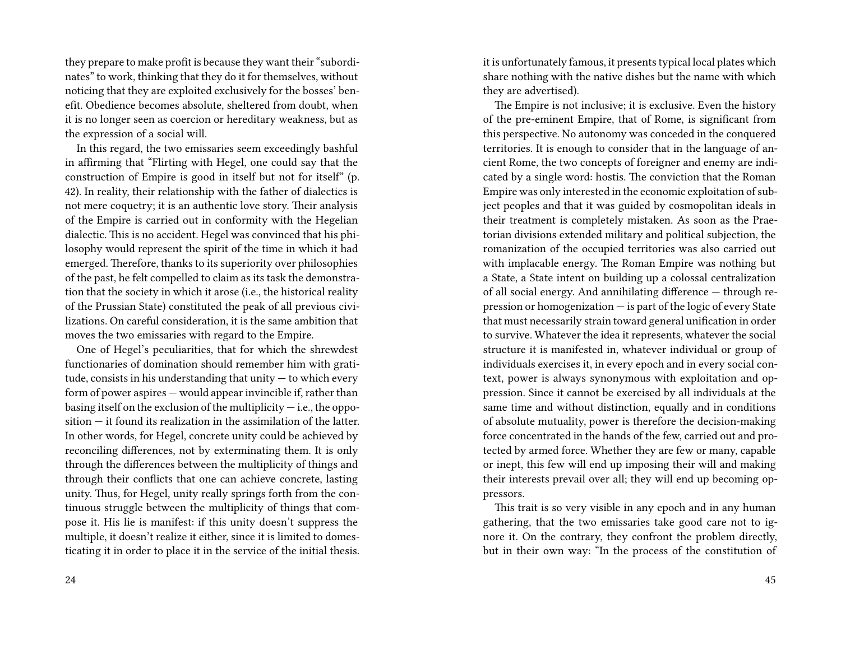they prepare to make profit is because they want their "subordinates" to work, thinking that they do it for themselves, without noticing that they are exploited exclusively for the bosses' benefit. Obedience becomes absolute, sheltered from doubt, when it is no longer seen as coercion or hereditary weakness, but as the expression of a social will.

In this regard, the two emissaries seem exceedingly bashful in affirming that "Flirting with Hegel, one could say that the construction of Empire is good in itself but not for itself" (p. 42). In reality, their relationship with the father of dialectics is not mere coquetry; it is an authentic love story. Their analysis of the Empire is carried out in conformity with the Hegelian dialectic. This is no accident. Hegel was convinced that his philosophy would represent the spirit of the time in which it had emerged. Therefore, thanks to its superiority over philosophies of the past, he felt compelled to claim as its task the demonstration that the society in which it arose (i.e., the historical reality of the Prussian State) constituted the peak of all previous civilizations. On careful consideration, it is the same ambition that moves the two emissaries with regard to the Empire.

One of Hegel's peculiarities, that for which the shrewdest functionaries of domination should remember him with gratitude, consists in his understanding that unity  $-$  to which every form of power aspires — would appear invincible if, rather than basing itself on the exclusion of the multiplicity  $-$  i.e., the opposition — it found its realization in the assimilation of the latter. In other words, for Hegel, concrete unity could be achieved by reconciling differences, not by exterminating them. It is only through the differences between the multiplicity of things and through their conflicts that one can achieve concrete, lasting unity. Thus, for Hegel, unity really springs forth from the continuous struggle between the multiplicity of things that compose it. His lie is manifest: if this unity doesn't suppress the multiple, it doesn't realize it either, since it is limited to domesticating it in order to place it in the service of the initial thesis. it is unfortunately famous, it presents typical local plates which share nothing with the native dishes but the name with which they are advertised).

The Empire is not inclusive; it is exclusive. Even the history of the pre-eminent Empire, that of Rome, is significant from this perspective. No autonomy was conceded in the conquered territories. It is enough to consider that in the language of ancient Rome, the two concepts of foreigner and enemy are indicated by a single word: hostis. The conviction that the Roman Empire was only interested in the economic exploitation of subject peoples and that it was guided by cosmopolitan ideals in their treatment is completely mistaken. As soon as the Praetorian divisions extended military and political subjection, the romanization of the occupied territories was also carried out with implacable energy. The Roman Empire was nothing but a State, a State intent on building up a colossal centralization of all social energy. And annihilating difference — through repression or homogenization — is part of the logic of every State that must necessarily strain toward general unification in order to survive. Whatever the idea it represents, whatever the social structure it is manifested in, whatever individual or group of individuals exercises it, in every epoch and in every social context, power is always synonymous with exploitation and oppression. Since it cannot be exercised by all individuals at the same time and without distinction, equally and in conditions of absolute mutuality, power is therefore the decision-making force concentrated in the hands of the few, carried out and protected by armed force. Whether they are few or many, capable or inept, this few will end up imposing their will and making their interests prevail over all; they will end up becoming oppressors.

This trait is so very visible in any epoch and in any human gathering, that the two emissaries take good care not to ignore it. On the contrary, they confront the problem directly, but in their own way: "In the process of the constitution of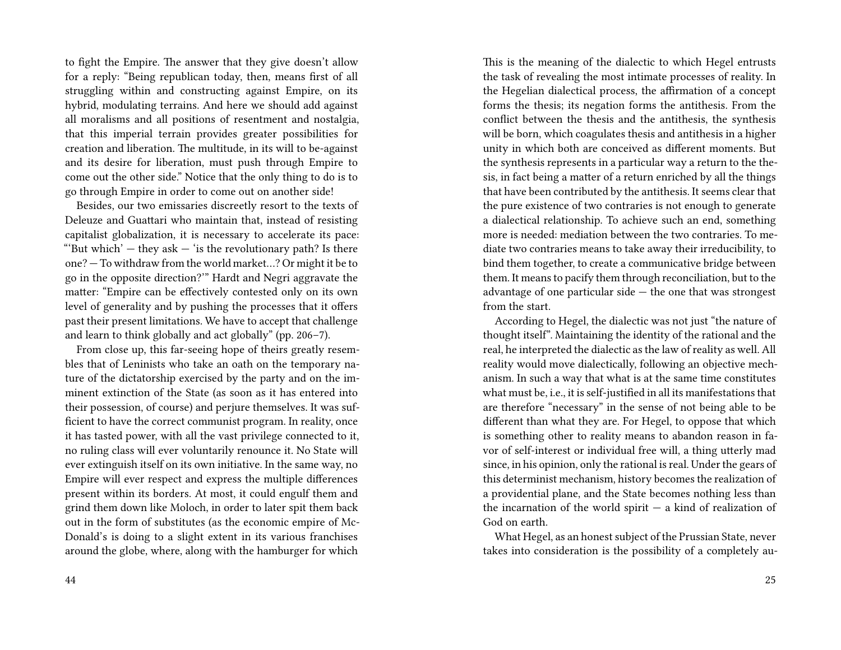to fight the Empire. The answer that they give doesn't allow for a reply: "Being republican today, then, means first of all struggling within and constructing against Empire, on its hybrid, modulating terrains. And here we should add against all moralisms and all positions of resentment and nostalgia, that this imperial terrain provides greater possibilities for creation and liberation. The multitude, in its will to be-against and its desire for liberation, must push through Empire to come out the other side." Notice that the only thing to do is to go through Empire in order to come out on another side!

Besides, our two emissaries discreetly resort to the texts of Deleuze and Guattari who maintain that, instead of resisting capitalist globalization, it is necessary to accelerate its pace: "'But which'  $-$  they ask  $-$  'is the revolutionary path? Is there one? — To withdraw from the world market…? Or might it be to go in the opposite direction?'" Hardt and Negri aggravate the matter: "Empire can be effectively contested only on its own level of generality and by pushing the processes that it offers past their present limitations. We have to accept that challenge and learn to think globally and act globally" (pp. 206–7).

From close up, this far-seeing hope of theirs greatly resembles that of Leninists who take an oath on the temporary nature of the dictatorship exercised by the party and on the imminent extinction of the State (as soon as it has entered into their possession, of course) and perjure themselves. It was sufficient to have the correct communist program. In reality, once it has tasted power, with all the vast privilege connected to it, no ruling class will ever voluntarily renounce it. No State will ever extinguish itself on its own initiative. In the same way, no Empire will ever respect and express the multiple differences present within its borders. At most, it could engulf them and grind them down like Moloch, in order to later spit them back out in the form of substitutes (as the economic empire of Mc-Donald's is doing to a slight extent in its various franchises around the globe, where, along with the hamburger for which

This is the meaning of the dialectic to which Hegel entrusts the task of revealing the most intimate processes of reality. In the Hegelian dialectical process, the affirmation of a concept forms the thesis; its negation forms the antithesis. From the conflict between the thesis and the antithesis, the synthesis will be born, which coagulates thesis and antithesis in a higher unity in which both are conceived as different moments. But the synthesis represents in a particular way a return to the thesis, in fact being a matter of a return enriched by all the things that have been contributed by the antithesis. It seems clear that the pure existence of two contraries is not enough to generate a dialectical relationship. To achieve such an end, something more is needed: mediation between the two contraries. To mediate two contraries means to take away their irreducibility, to bind them together, to create a communicative bridge between them. It means to pacify them through reconciliation, but to the advantage of one particular side  $-$  the one that was strongest from the start.

According to Hegel, the dialectic was not just "the nature of thought itself". Maintaining the identity of the rational and the real, he interpreted the dialectic as the law of reality as well. All reality would move dialectically, following an objective mechanism. In such a way that what is at the same time constitutes what must be, i.e., it is self-justified in all its manifestations that are therefore "necessary" in the sense of not being able to be different than what they are. For Hegel, to oppose that which is something other to reality means to abandon reason in favor of self-interest or individual free will, a thing utterly mad since, in his opinion, only the rational is real. Under the gears of this determinist mechanism, history becomes the realization of a providential plane, and the State becomes nothing less than the incarnation of the world spirit  $-$  a kind of realization of God on earth.

What Hegel, as an honest subject of the Prussian State, never takes into consideration is the possibility of a completely au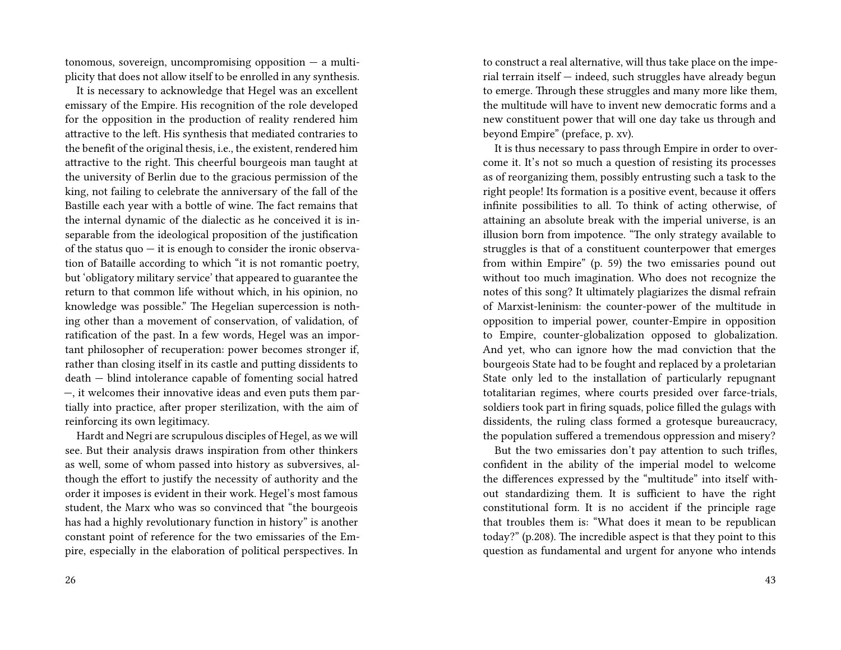tonomous, sovereign, uncompromising opposition  $-$  a multiplicity that does not allow itself to be enrolled in any synthesis.

It is necessary to acknowledge that Hegel was an excellent emissary of the Empire. His recognition of the role developed for the opposition in the production of reality rendered him attractive to the left. His synthesis that mediated contraries to the benefit of the original thesis, i.e., the existent, rendered him attractive to the right. This cheerful bourgeois man taught at the university of Berlin due to the gracious permission of the king, not failing to celebrate the anniversary of the fall of the Bastille each year with a bottle of wine. The fact remains that the internal dynamic of the dialectic as he conceived it is inseparable from the ideological proposition of the justification of the status  $quo - it$  is enough to consider the ironic observation of Bataille according to which "it is not romantic poetry, but 'obligatory military service' that appeared to guarantee the return to that common life without which, in his opinion, no knowledge was possible." The Hegelian supercession is nothing other than a movement of conservation, of validation, of ratification of the past. In a few words, Hegel was an important philosopher of recuperation: power becomes stronger if, rather than closing itself in its castle and putting dissidents to death — blind intolerance capable of fomenting social hatred —, it welcomes their innovative ideas and even puts them partially into practice, after proper sterilization, with the aim of reinforcing its own legitimacy.

Hardt and Negri are scrupulous disciples of Hegel, as we will see. But their analysis draws inspiration from other thinkers as well, some of whom passed into history as subversives, although the effort to justify the necessity of authority and the order it imposes is evident in their work. Hegel's most famous student, the Marx who was so convinced that "the bourgeois has had a highly revolutionary function in history" is another constant point of reference for the two emissaries of the Empire, especially in the elaboration of political perspectives. In

to construct a real alternative, will thus take place on the imperial terrain itself — indeed, such struggles have already begun to emerge. Through these struggles and many more like them, the multitude will have to invent new democratic forms and a new constituent power that will one day take us through and beyond Empire" (preface, p. xv).

It is thus necessary to pass through Empire in order to overcome it. It's not so much a question of resisting its processes as of reorganizing them, possibly entrusting such a task to the right people! Its formation is a positive event, because it offers infinite possibilities to all. To think of acting otherwise, of attaining an absolute break with the imperial universe, is an illusion born from impotence. "The only strategy available to struggles is that of a constituent counterpower that emerges from within Empire" (p. 59) the two emissaries pound out without too much imagination. Who does not recognize the notes of this song? It ultimately plagiarizes the dismal refrain of Marxist-leninism: the counter-power of the multitude in opposition to imperial power, counter-Empire in opposition to Empire, counter-globalization opposed to globalization. And yet, who can ignore how the mad conviction that the bourgeois State had to be fought and replaced by a proletarian State only led to the installation of particularly repugnant totalitarian regimes, where courts presided over farce-trials, soldiers took part in firing squads, police filled the gulags with dissidents, the ruling class formed a grotesque bureaucracy, the population suffered a tremendous oppression and misery?

But the two emissaries don't pay attention to such trifles, confident in the ability of the imperial model to welcome the differences expressed by the "multitude" into itself without standardizing them. It is sufficient to have the right constitutional form. It is no accident if the principle rage that troubles them is: "What does it mean to be republican today?" (p.208). The incredible aspect is that they point to this question as fundamental and urgent for anyone who intends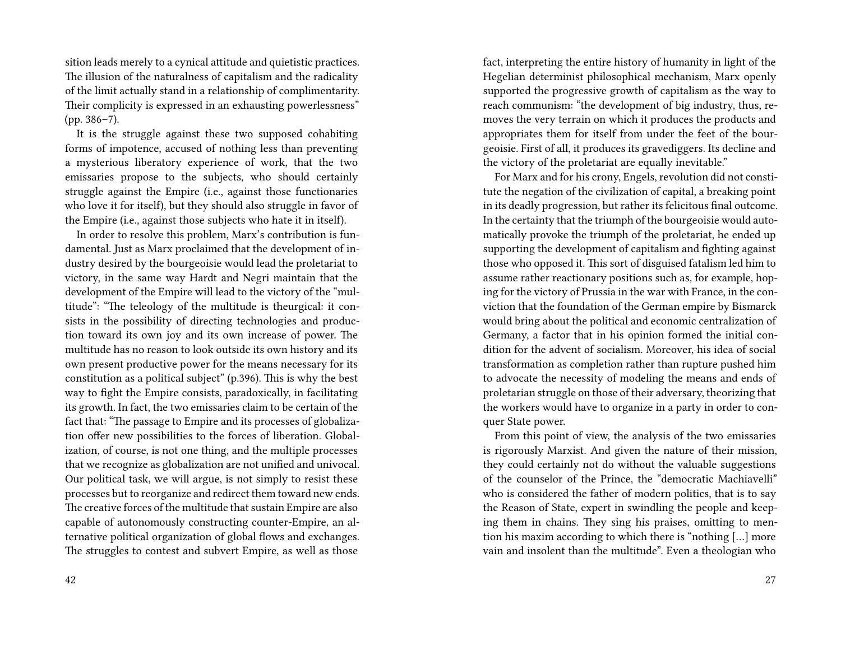sition leads merely to a cynical attitude and quietistic practices. The illusion of the naturalness of capitalism and the radicality of the limit actually stand in a relationship of complimentarity. Their complicity is expressed in an exhausting powerlessness" (pp. 386–7).

It is the struggle against these two supposed cohabiting forms of impotence, accused of nothing less than preventing a mysterious liberatory experience of work, that the two emissaries propose to the subjects, who should certainly struggle against the Empire (i.e., against those functionaries who love it for itself), but they should also struggle in favor of the Empire (i.e., against those subjects who hate it in itself).

In order to resolve this problem, Marx's contribution is fundamental. Just as Marx proclaimed that the development of industry desired by the bourgeoisie would lead the proletariat to victory, in the same way Hardt and Negri maintain that the development of the Empire will lead to the victory of the "multitude": "The teleology of the multitude is theurgical: it consists in the possibility of directing technologies and production toward its own joy and its own increase of power. The multitude has no reason to look outside its own history and its own present productive power for the means necessary for its constitution as a political subject" (p.396). This is why the best way to fight the Empire consists, paradoxically, in facilitating its growth. In fact, the two emissaries claim to be certain of the fact that: "The passage to Empire and its processes of globalization offer new possibilities to the forces of liberation. Globalization, of course, is not one thing, and the multiple processes that we recognize as globalization are not unified and univocal. Our political task, we will argue, is not simply to resist these processes but to reorganize and redirect them toward new ends. The creative forces of the multitude that sustain Empire are also capable of autonomously constructing counter-Empire, an alternative political organization of global flows and exchanges. The struggles to contest and subvert Empire, as well as those

fact, interpreting the entire history of humanity in light of the Hegelian determinist philosophical mechanism, Marx openly supported the progressive growth of capitalism as the way to reach communism: "the development of big industry, thus, removes the very terrain on which it produces the products and appropriates them for itself from under the feet of the bourgeoisie. First of all, it produces its gravediggers. Its decline and the victory of the proletariat are equally inevitable."

For Marx and for his crony, Engels, revolution did not constitute the negation of the civilization of capital, a breaking point in its deadly progression, but rather its felicitous final outcome. In the certainty that the triumph of the bourgeoisie would automatically provoke the triumph of the proletariat, he ended up supporting the development of capitalism and fighting against those who opposed it. This sort of disguised fatalism led him to assume rather reactionary positions such as, for example, hoping for the victory of Prussia in the war with France, in the conviction that the foundation of the German empire by Bismarck would bring about the political and economic centralization of Germany, a factor that in his opinion formed the initial condition for the advent of socialism. Moreover, his idea of social transformation as completion rather than rupture pushed him to advocate the necessity of modeling the means and ends of proletarian struggle on those of their adversary, theorizing that the workers would have to organize in a party in order to conquer State power.

From this point of view, the analysis of the two emissaries is rigorously Marxist. And given the nature of their mission, they could certainly not do without the valuable suggestions of the counselor of the Prince, the "democratic Machiavelli" who is considered the father of modern politics, that is to say the Reason of State, expert in swindling the people and keeping them in chains. They sing his praises, omitting to mention his maxim according to which there is "nothing […] more vain and insolent than the multitude". Even a theologian who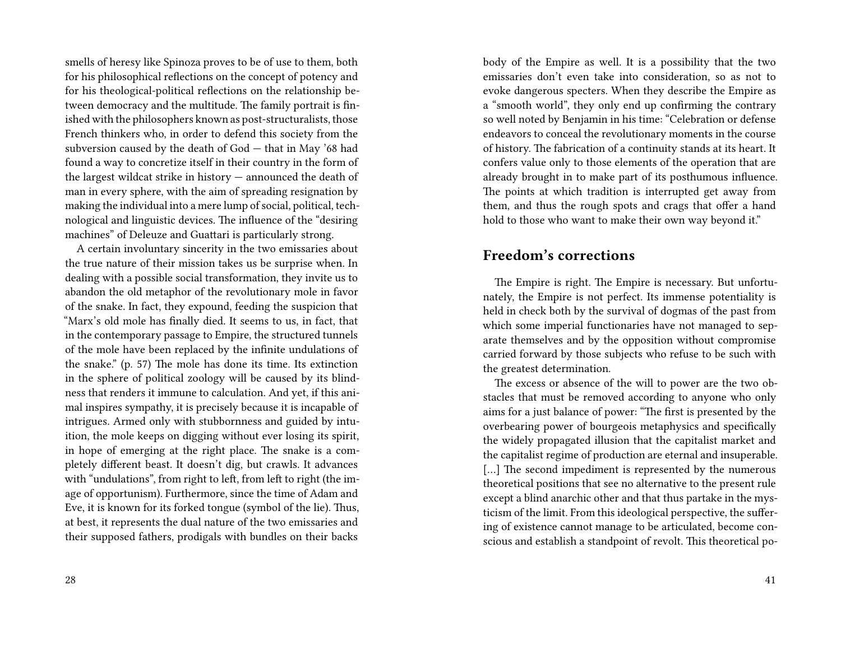smells of heresy like Spinoza proves to be of use to them, both for his philosophical reflections on the concept of potency and for his theological-political reflections on the relationship between democracy and the multitude. The family portrait is finished with the philosophers known as post-structuralists, those French thinkers who, in order to defend this society from the subversion caused by the death of God — that in May '68 had found a way to concretize itself in their country in the form of the largest wildcat strike in history — announced the death of man in every sphere, with the aim of spreading resignation by making the individual into a mere lump of social, political, technological and linguistic devices. The influence of the "desiring machines" of Deleuze and Guattari is particularly strong.

A certain involuntary sincerity in the two emissaries about the true nature of their mission takes us be surprise when. In dealing with a possible social transformation, they invite us to abandon the old metaphor of the revolutionary mole in favor of the snake. In fact, they expound, feeding the suspicion that "Marx's old mole has finally died. It seems to us, in fact, that in the contemporary passage to Empire, the structured tunnels of the mole have been replaced by the infinite undulations of the snake." (p. 57) The mole has done its time. Its extinction in the sphere of political zoology will be caused by its blindness that renders it immune to calculation. And yet, if this animal inspires sympathy, it is precisely because it is incapable of intrigues. Armed only with stubbornness and guided by intuition, the mole keeps on digging without ever losing its spirit, in hope of emerging at the right place. The snake is a completely different beast. It doesn't dig, but crawls. It advances with "undulations", from right to left, from left to right (the image of opportunism). Furthermore, since the time of Adam and Eve, it is known for its forked tongue (symbol of the lie). Thus, at best, it represents the dual nature of the two emissaries and their supposed fathers, prodigals with bundles on their backs

body of the Empire as well. It is a possibility that the two emissaries don't even take into consideration, so as not to evoke dangerous specters. When they describe the Empire as a "smooth world", they only end up confirming the contrary so well noted by Benjamin in his time: "Celebration or defense endeavors to conceal the revolutionary moments in the course of history. The fabrication of a continuity stands at its heart. It confers value only to those elements of the operation that are already brought in to make part of its posthumous influence. The points at which tradition is interrupted get away from them, and thus the rough spots and crags that offer a hand hold to those who want to make their own way beyond it."

#### **Freedom's corrections**

The Empire is right. The Empire is necessary. But unfortunately, the Empire is not perfect. Its immense potentiality is held in check both by the survival of dogmas of the past from which some imperial functionaries have not managed to separate themselves and by the opposition without compromise carried forward by those subjects who refuse to be such with the greatest determination.

The excess or absence of the will to power are the two obstacles that must be removed according to anyone who only aims for a just balance of power: "The first is presented by the overbearing power of bourgeois metaphysics and specifically the widely propagated illusion that the capitalist market and the capitalist regime of production are eternal and insuperable. [...] The second impediment is represented by the numerous theoretical positions that see no alternative to the present rule except a blind anarchic other and that thus partake in the mysticism of the limit. From this ideological perspective, the suffering of existence cannot manage to be articulated, become conscious and establish a standpoint of revolt. This theoretical po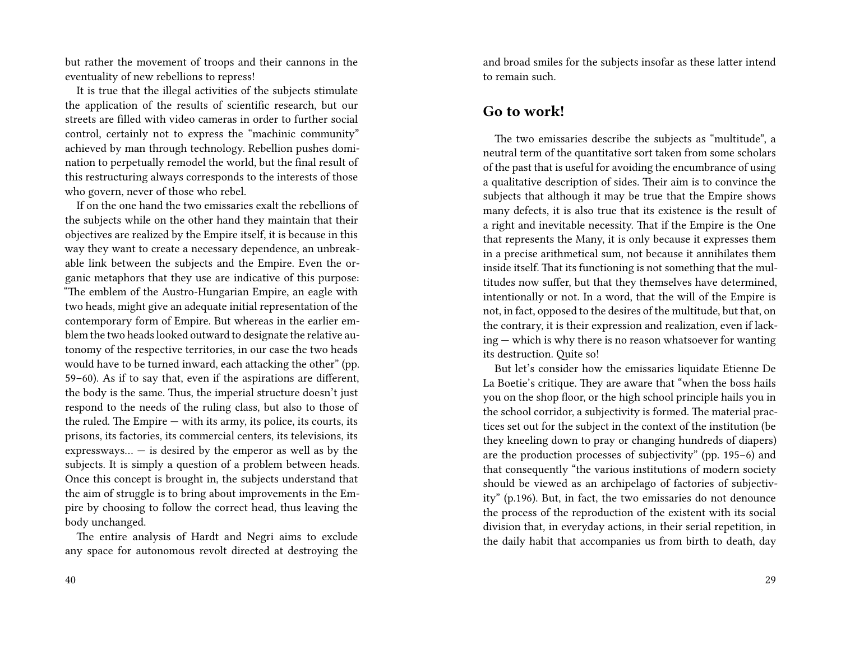but rather the movement of troops and their cannons in the eventuality of new rebellions to repress!

It is true that the illegal activities of the subjects stimulate the application of the results of scientific research, but our streets are filled with video cameras in order to further social control, certainly not to express the "machinic community" achieved by man through technology. Rebellion pushes domination to perpetually remodel the world, but the final result of this restructuring always corresponds to the interests of those who govern, never of those who rebel.

If on the one hand the two emissaries exalt the rebellions of the subjects while on the other hand they maintain that their objectives are realized by the Empire itself, it is because in this way they want to create a necessary dependence, an unbreakable link between the subjects and the Empire. Even the organic metaphors that they use are indicative of this purpose: "The emblem of the Austro-Hungarian Empire, an eagle with two heads, might give an adequate initial representation of the contemporary form of Empire. But whereas in the earlier emblem the two heads looked outward to designate the relative autonomy of the respective territories, in our case the two heads would have to be turned inward, each attacking the other" (pp. 59–60). As if to say that, even if the aspirations are different, the body is the same. Thus, the imperial structure doesn't just respond to the needs of the ruling class, but also to those of the ruled. The Empire — with its army, its police, its courts, its prisons, its factories, its commercial centers, its televisions, its expressways...  $-$  is desired by the emperor as well as by the subjects. It is simply a question of a problem between heads. Once this concept is brought in, the subjects understand that the aim of struggle is to bring about improvements in the Empire by choosing to follow the correct head, thus leaving the body unchanged.

The entire analysis of Hardt and Negri aims to exclude any space for autonomous revolt directed at destroying the and broad smiles for the subjects insofar as these latter intend to remain such.

#### **Go to work!**

The two emissaries describe the subjects as "multitude", a neutral term of the quantitative sort taken from some scholars of the past that is useful for avoiding the encumbrance of using a qualitative description of sides. Their aim is to convince the subjects that although it may be true that the Empire shows many defects, it is also true that its existence is the result of a right and inevitable necessity. That if the Empire is the One that represents the Many, it is only because it expresses them in a precise arithmetical sum, not because it annihilates them inside itself. That its functioning is not something that the multitudes now suffer, but that they themselves have determined, intentionally or not. In a word, that the will of the Empire is not, in fact, opposed to the desires of the multitude, but that, on the contrary, it is their expression and realization, even if lacking — which is why there is no reason whatsoever for wanting its destruction. Quite so!

But let's consider how the emissaries liquidate Etienne De La Boetie's critique. They are aware that "when the boss hails you on the shop floor, or the high school principle hails you in the school corridor, a subjectivity is formed. The material practices set out for the subject in the context of the institution (be they kneeling down to pray or changing hundreds of diapers) are the production processes of subjectivity" (pp. 195–6) and that consequently "the various institutions of modern society should be viewed as an archipelago of factories of subjectivity" (p.196). But, in fact, the two emissaries do not denounce the process of the reproduction of the existent with its social division that, in everyday actions, in their serial repetition, in the daily habit that accompanies us from birth to death, day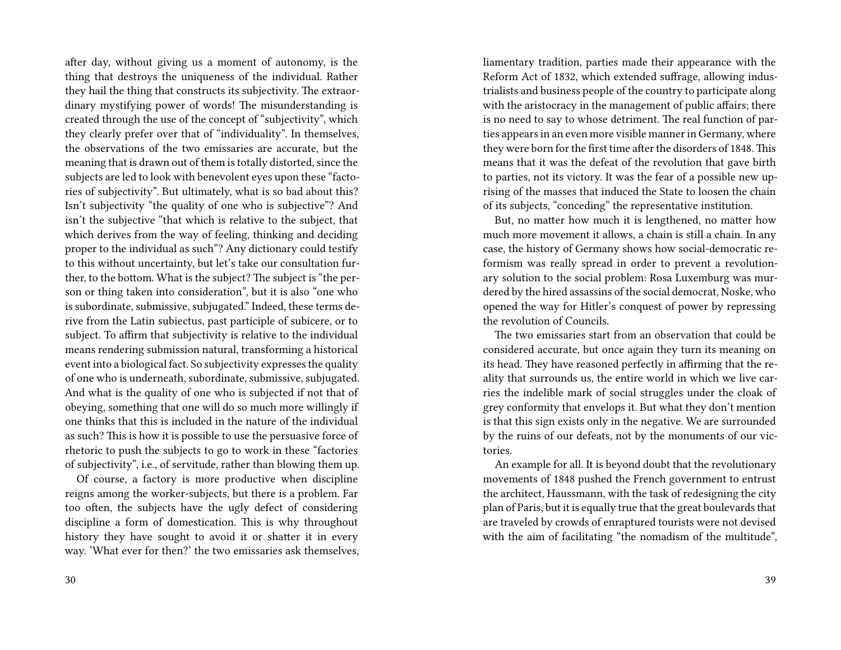after day, without giving us a moment of autonomy, is the thing that destroys the uniqueness of the individual. Rather they hail the thing that constructs its subjectivity. The extraordinary mystifying power of words! The misunderstanding is created through the use of the concept of "subjectivity", which they clearly prefer over that of "individuality". In themselves, the observations of the two emissaries are accurate, but the meaning that is drawn out of them is totally distorted, since the subjects are led to look with benevolent eyes upon these "factories of subjectivity". But ultimately, what is so bad about this? Isn't subjectivity "the quality of one who is subjective"? And isn't the subjective "that which is relative to the subject, that which derives from the way of feeling, thinking and deciding proper to the individual as such"? Any dictionary could testify to this without uncertainty, but let's take our consultation further, to the bottom. What is the subject? The subject is "the person or thing taken into consideration", but it is also "one who is subordinate, submissive, subjugated." Indeed, these terms derive from the Latin subiectus, past participle of subicere, or to subject. To affirm that subjectivity is relative to the individual means rendering submission natural, transforming a historical event into a biological fact. So subjectivity expresses the quality of one who is underneath, subordinate, submissive, subjugated. And what is the quality of one who is subjected if not that of obeying, something that one will do so much more willingly if one thinks that this is included in the nature of the individual as such? This is how it is possible to use the persuasive force of rhetoric to push the subjects to go to work in these "factories of subjectivity", i.e., of servitude, rather than blowing them up.

Of course, a factory is more productive when discipline reigns among the worker-subjects, but there is a problem. Far too often, the subjects have the ugly defect of considering discipline a form of domestication. This is why throughout history they have sought to avoid it or shatter it in every way. 'What ever for then?' the two emissaries ask themselves, liamentary tradition, parties made their appearance with the Reform Act of 1832, which extended suffrage, allowing industrialists and business people of the country to participate along with the aristocracy in the management of public affairs; there is no need to say to whose detriment. The real function of parties appears in an even more visible manner in Germany, where they were born for the first time after the disorders of 1848.This means that it was the defeat of the revolution that gave birth to parties, not its victory. It was the fear of a possible new uprising of the masses that induced the State to loosen the chain of its subjects, "conceding" the representative institution.

But, no matter how much it is lengthened, no matter how much more movement it allows, a chain is still a chain. In any case, the history of Germany shows how social-democratic reformism was really spread in order to prevent a revolutionary solution to the social problem: Rosa Luxemburg was murdered by the hired assassins of the social democrat, Noske, who opened the way for Hitler's conquest of power by repressing the revolution of Councils.

The two emissaries start from an observation that could be considered accurate, but once again they turn its meaning on its head. They have reasoned perfectly in affirming that the reality that surrounds us, the entire world in which we live carries the indelible mark of social struggles under the cloak of grey conformity that envelops it. But what they don't mention is that this sign exists only in the negative. We are surrounded by the ruins of our defeats, not by the monuments of our victories.

An example for all. It is beyond doubt that the revolutionary movements of 1848 pushed the French government to entrust the architect, Haussmann, with the task of redesigning the city plan of Paris, but it is equally true that the great boulevards that are traveled by crowds of enraptured tourists were not devised with the aim of facilitating "the nomadism of the multitude",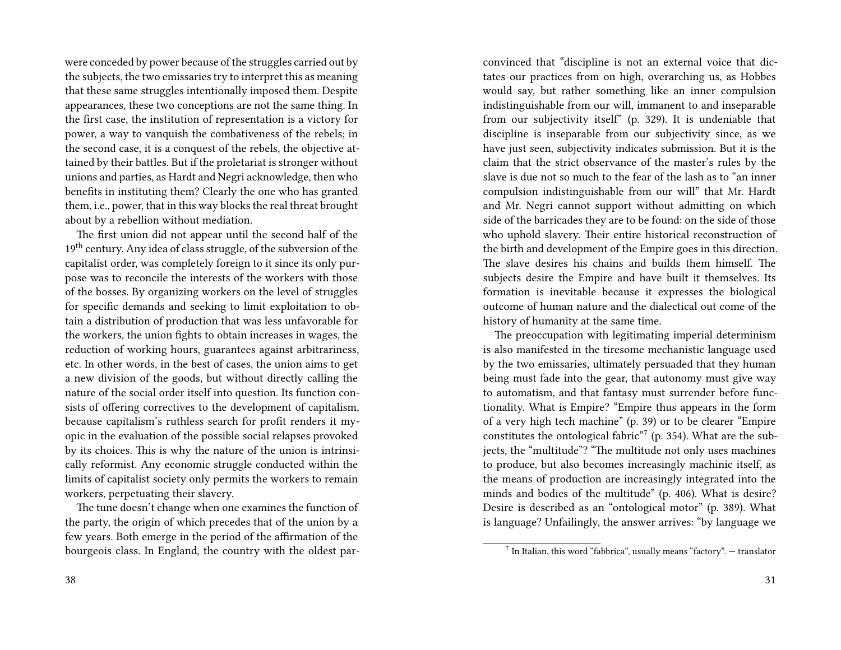were conceded by power because of the struggles carried out by the subjects, the two emissaries try to interpret this as meaning that these same struggles intentionally imposed them. Despite appearances, these two conceptions are not the same thing. In the first case, the institution of representation is a victory for power, a way to vanquish the combativeness of the rebels; in the second case, it is a conquest of the rebels, the objective attained by their battles. But if the proletariat is stronger without unions and parties, as Hardt and Negri acknowledge, then who benefits in instituting them? Clearly the one who has granted them, i.e., power, that in this way blocks the real threat brought about by a rebellion without mediation.

The first union did not appear until the second half of the 19<sup>th</sup> century. Any idea of class struggle, of the subversion of the capitalist order, was completely foreign to it since its only purpose was to reconcile the interests of the workers with those of the bosses. By organizing workers on the level of struggles for specific demands and seeking to limit exploitation to obtain a distribution of production that was less unfavorable for the workers, the union fights to obtain increases in wages, the reduction of working hours, guarantees against arbitrariness, etc. In other words, in the best of cases, the union aims to get a new division of the goods, but without directly calling the nature of the social order itself into question. Its function consists of offering correctives to the development of capitalism, because capitalism's ruthless search for profit renders it myopic in the evaluation of the possible social relapses provoked by its choices. This is why the nature of the union is intrinsically reformist. Any economic struggle conducted within the limits of capitalist society only permits the workers to remain workers, perpetuating their slavery.

The tune doesn't change when one examines the function of the party, the origin of which precedes that of the union by a few years. Both emerge in the period of the affirmation of the bourgeois class. In England, the country with the oldest parconvinced that "discipline is not an external voice that dictates our practices from on high, overarching us, as Hobbes would say, but rather something like an inner compulsion indistinguishable from our will, immanent to and inseparable from our subjectivity itself" (p. 329). It is undeniable that discipline is inseparable from our subjectivity since, as we have just seen, subjectivity indicates submission. But it is the claim that the strict observance of the master's rules by the slave is due not so much to the fear of the lash as to "an inner compulsion indistinguishable from our will" that Mr. Hardt and Mr. Negri cannot support without admitting on which side of the barricades they are to be found: on the side of those who uphold slavery. Their entire historical reconstruction of the birth and development of the Empire goes in this direction. The slave desires his chains and builds them himself. The subjects desire the Empire and have built it themselves. Its formation is inevitable because it expresses the biological outcome of human nature and the dialectical out come of the history of humanity at the same time.

The preoccupation with legitimating imperial determinism is also manifested in the tiresome mechanistic language used by the two emissaries, ultimately persuaded that they human being must fade into the gear, that autonomy must give way to automatism, and that fantasy must surrender before functionality. What is Empire? "Empire thus appears in the form of a very high tech machine" (p. 39) or to be clearer "Empire constitutes the ontological fabric<sup>"7</sup> (p. 354). What are the subjects, the "multitude"? "The multitude not only uses machines to produce, but also becomes increasingly machinic itself, as the means of production are increasingly integrated into the minds and bodies of the multitude" (p. 406). What is desire? Desire is described as an "ontological motor" (p. 389). What is language? Unfailingly, the answer arrives: "by language we

 $^7$  In Italian, this word "fabbrica", usually means "factory".  $-$  translator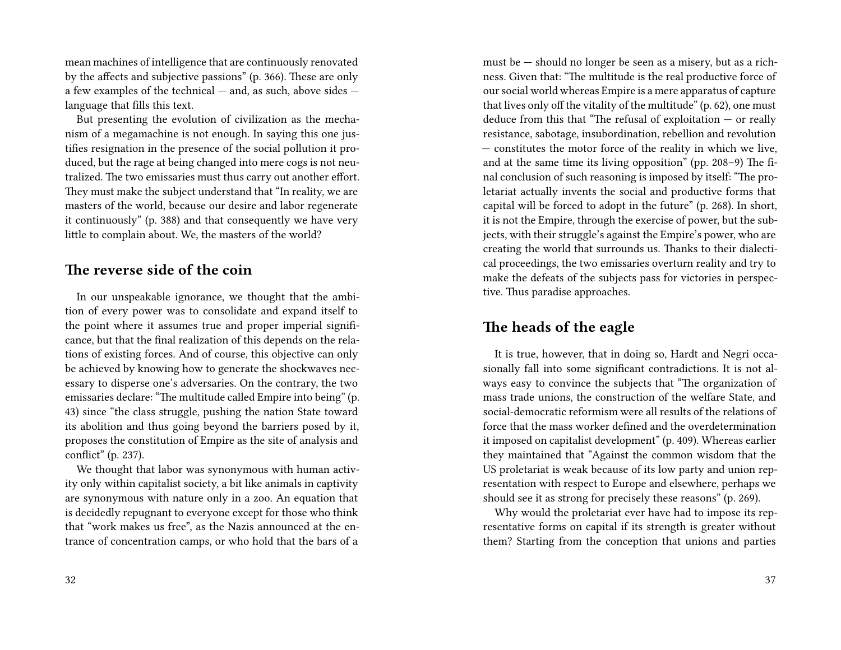mean machines of intelligence that are continuously renovated by the affects and subjective passions" (p. 366). These are only a few examples of the technical — and, as such, above sides language that fills this text.

But presenting the evolution of civilization as the mechanism of a megamachine is not enough. In saying this one justifies resignation in the presence of the social pollution it produced, but the rage at being changed into mere cogs is not neutralized. The two emissaries must thus carry out another effort. They must make the subject understand that "In reality, we are masters of the world, because our desire and labor regenerate it continuously" (p. 388) and that consequently we have very little to complain about. We, the masters of the world?

#### **The reverse side of the coin**

In our unspeakable ignorance, we thought that the ambition of every power was to consolidate and expand itself to the point where it assumes true and proper imperial significance, but that the final realization of this depends on the relations of existing forces. And of course, this objective can only be achieved by knowing how to generate the shockwaves necessary to disperse one's adversaries. On the contrary, the two emissaries declare: "The multitude called Empire into being" (p. 43) since "the class struggle, pushing the nation State toward its abolition and thus going beyond the barriers posed by it, proposes the constitution of Empire as the site of analysis and conflict" (p. 237).

We thought that labor was synonymous with human activity only within capitalist society, a bit like animals in captivity are synonymous with nature only in a zoo. An equation that is decidedly repugnant to everyone except for those who think that "work makes us free", as the Nazis announced at the entrance of concentration camps, or who hold that the bars of a

must be — should no longer be seen as a misery, but as a richness. Given that: "The multitude is the real productive force of our social world whereas Empire is a mere apparatus of capture that lives only off the vitality of the multitude" (p. 62), one must deduce from this that "The refusal of exploitation — or really resistance, sabotage, insubordination, rebellion and revolution — constitutes the motor force of the reality in which we live, and at the same time its living opposition" (pp. 208–9) The final conclusion of such reasoning is imposed by itself: "The proletariat actually invents the social and productive forms that capital will be forced to adopt in the future" (p. 268). In short, it is not the Empire, through the exercise of power, but the subjects, with their struggle's against the Empire's power, who are creating the world that surrounds us. Thanks to their dialectical proceedings, the two emissaries overturn reality and try to make the defeats of the subjects pass for victories in perspective. Thus paradise approaches.

#### **The heads of the eagle**

It is true, however, that in doing so, Hardt and Negri occasionally fall into some significant contradictions. It is not always easy to convince the subjects that "The organization of mass trade unions, the construction of the welfare State, and social-democratic reformism were all results of the relations of force that the mass worker defined and the overdetermination it imposed on capitalist development" (p. 409). Whereas earlier they maintained that "Against the common wisdom that the US proletariat is weak because of its low party and union representation with respect to Europe and elsewhere, perhaps we should see it as strong for precisely these reasons" (p. 269).

Why would the proletariat ever have had to impose its representative forms on capital if its strength is greater without them? Starting from the conception that unions and parties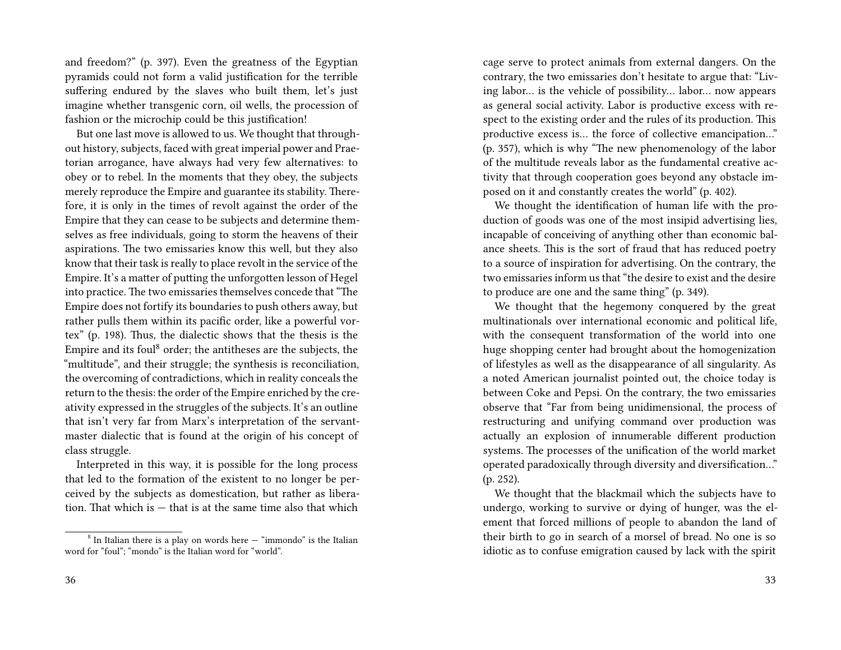and freedom?" (p. 397). Even the greatness of the Egyptian pyramids could not form a valid justification for the terrible suffering endured by the slaves who built them, let's just imagine whether transgenic corn, oil wells, the procession of fashion or the microchip could be this justification!

But one last move is allowed to us. We thought that throughout history, subjects, faced with great imperial power and Praetorian arrogance, have always had very few alternatives: to obey or to rebel. In the moments that they obey, the subjects merely reproduce the Empire and guarantee its stability. Therefore, it is only in the times of revolt against the order of the Empire that they can cease to be subjects and determine themselves as free individuals, going to storm the heavens of their aspirations. The two emissaries know this well, but they also know that their task is really to place revolt in the service of the Empire. It's a matter of putting the unforgotten lesson of Hegel into practice. The two emissaries themselves concede that "The Empire does not fortify its boundaries to push others away, but rather pulls them within its pacific order, like a powerful vortex" (p. 198). Thus, the dialectic shows that the thesis is the Empire and its foul<sup>8</sup> order; the antitheses are the subjects, the "multitude", and their struggle; the synthesis is reconciliation, the overcoming of contradictions, which in reality conceals the return to the thesis: the order of the Empire enriched by the creativity expressed in the struggles of the subjects. It's an outline that isn't very far from Marx's interpretation of the servantmaster dialectic that is found at the origin of his concept of class struggle.

Interpreted in this way, it is possible for the long process that led to the formation of the existent to no longer be perceived by the subjects as domestication, but rather as liberation. That which is  $-$  that is at the same time also that which

cage serve to protect animals from external dangers. On the contrary, the two emissaries don't hesitate to argue that: "Living labor… is the vehicle of possibility… labor… now appears as general social activity. Labor is productive excess with respect to the existing order and the rules of its production. This productive excess is… the force of collective emancipation…" (p. 357), which is why "The new phenomenology of the labor of the multitude reveals labor as the fundamental creative activity that through cooperation goes beyond any obstacle imposed on it and constantly creates the world" (p. 402).

We thought the identification of human life with the production of goods was one of the most insipid advertising lies, incapable of conceiving of anything other than economic balance sheets. This is the sort of fraud that has reduced poetry to a source of inspiration for advertising. On the contrary, the two emissaries inform us that "the desire to exist and the desire to produce are one and the same thing" (p. 349).

We thought that the hegemony conquered by the great multinationals over international economic and political life, with the consequent transformation of the world into one huge shopping center had brought about the homogenization of lifestyles as well as the disappearance of all singularity. As a noted American journalist pointed out, the choice today is between Coke and Pepsi. On the contrary, the two emissaries observe that "Far from being unidimensional, the process of restructuring and unifying command over production was actually an explosion of innumerable different production systems. The processes of the unification of the world market operated paradoxically through diversity and diversification…" (p. 252).

We thought that the blackmail which the subjects have to undergo, working to survive or dying of hunger, was the element that forced millions of people to abandon the land of their birth to go in search of a morsel of bread. No one is so idiotic as to confuse emigration caused by lack with the spirit

 $8$  In Italian there is a play on words here  $-$  "immondo" is the Italian word for "foul"; "mondo" is the Italian word for "world".